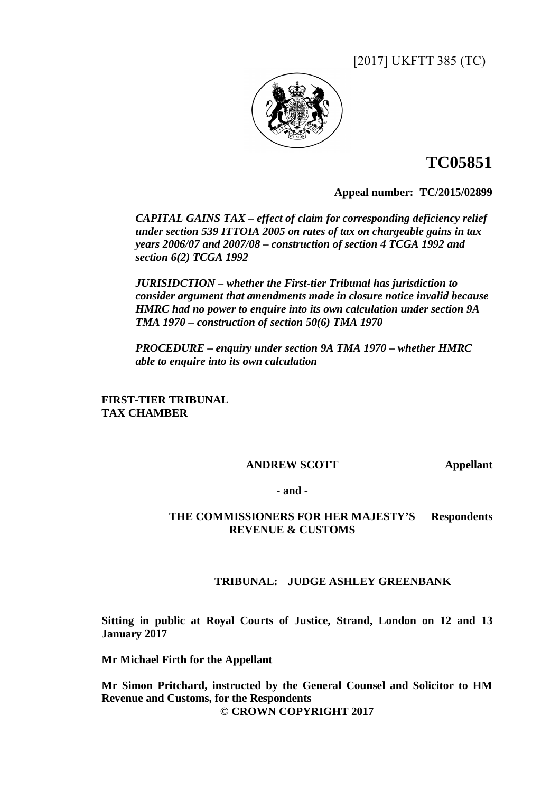[2017] UKFTT 385 (TC)



# **TC05851**

**Appeal number:TC/2015/02899** 

*CAPITAL GAINS TAX – effect of claim for corresponding deficiency relief under section 539 ITTOIA 2005 on rates of tax on chargeable gains in tax years 2006/07 and 2007/08 – construction of section 4 TCGA 1992 and section 6(2) TCGA 1992* 

*JURISIDCTION – whether the First-tier Tribunal has jurisdiction to consider argument that amendments made in closure notice invalid because HMRC had no power to enquire into its own calculation under section 9A TMA 1970 – construction of section 50(6) TMA 1970* 

*PROCEDURE – enquiry under section 9A TMA 1970 – whether HMRC able to enquire into its own calculation* 

**FIRST-TIER TRIBUNAL TAX CHAMBER** 

# **ANDREW SCOTT Appellant**

**- and -** 

**THE COMMISSIONERS FOR HER MAJESTY'S Respondents REVENUE & CUSTOMS** 

# **TRIBUNAL: JUDGE ASHLEY GREENBANK**

**Sitting in public at Royal Courts of Justice, Strand, London on 12 and 13 January 2017** 

**Mr Michael Firth for the Appellant** 

**Mr Simon Pritchard, instructed by the General Counsel and Solicitor to HM Revenue and Customs, for the Respondents © CROWN COPYRIGHT 2017**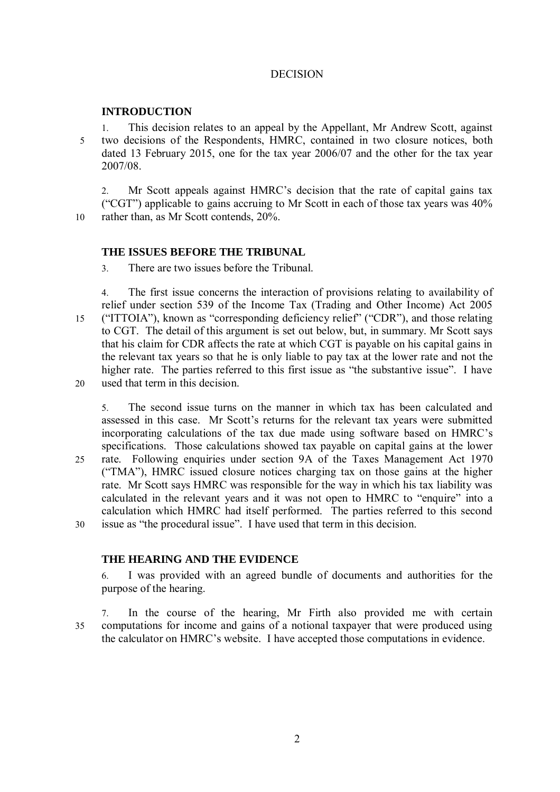# DECISION

# **INTRODUCTION**

1. This decision relates to an appeal by the Appellant, Mr Andrew Scott, against 5 two decisions of the Respondents, HMRC, contained in two closure notices, both dated 13 February 2015, one for the tax year 2006/07 and the other for the tax year 2007/08.

2. Mr Scott appeals against HMRC's decision that the rate of capital gains tax ("CGT") applicable to gains accruing to Mr Scott in each of those tax years was 40% 10 rather than, as Mr Scott contends, 20%.

# **THE ISSUES BEFORE THE TRIBUNAL**

3. There are two issues before the Tribunal.

4. The first issue concerns the interaction of provisions relating to availability of relief under section 539 of the Income Tax (Trading and Other Income) Act 2005 15 ("ITTOIA"), known as "corresponding deficiency relief" ("CDR"), and those relating to CGT. The detail of this argument is set out below, but, in summary. Mr Scott says that his claim for CDR affects the rate at which CGT is payable on his capital gains in the relevant tax years so that he is only liable to pay tax at the lower rate and not the higher rate. The parties referred to this first issue as "the substantive issue". I have 20 used that term in this decision.

5. The second issue turns on the manner in which tax has been calculated and assessed in this case. Mr Scott's returns for the relevant tax years were submitted incorporating calculations of the tax due made using software based on HMRC's specifications. Those calculations showed tax payable on capital gains at the lower 25 rate. Following enquiries under section 9A of the Taxes Management Act 1970 ("TMA"), HMRC issued closure notices charging tax on those gains at the higher rate. Mr Scott says HMRC was responsible for the way in which his tax liability was calculated in the relevant years and it was not open to HMRC to "enquire" into a calculation which HMRC had itself performed. The parties referred to this second 30 issue as "the procedural issue". I have used that term in this decision.

# **THE HEARING AND THE EVIDENCE**

6. I was provided with an agreed bundle of documents and authorities for the purpose of the hearing.

7. In the course of the hearing, Mr Firth also provided me with certain 35 computations for income and gains of a notional taxpayer that were produced using the calculator on HMRC's website. I have accepted those computations in evidence.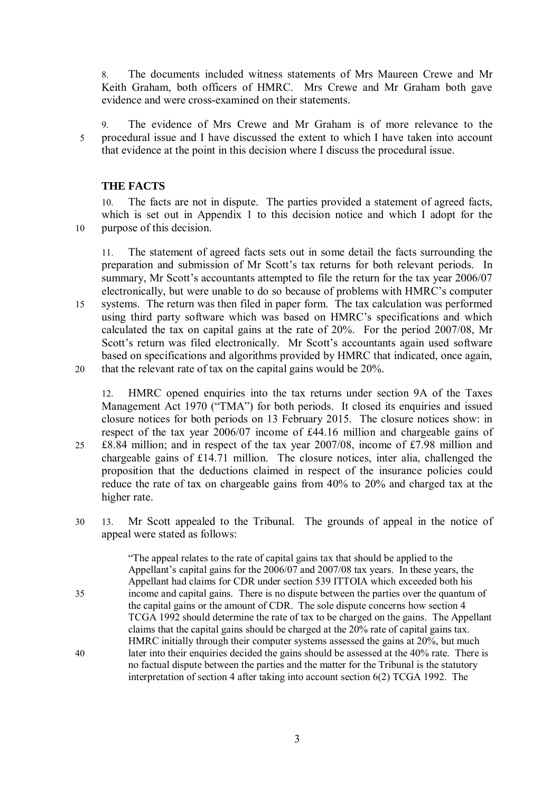8. The documents included witness statements of Mrs Maureen Crewe and Mr Keith Graham, both officers of HMRC. Mrs Crewe and Mr Graham both gave evidence and were cross-examined on their statements.

9. The evidence of Mrs Crewe and Mr Graham is of more relevance to the 5 procedural issue and I have discussed the extent to which I have taken into account that evidence at the point in this decision where I discuss the procedural issue.

### **THE FACTS**

10. The facts are not in dispute. The parties provided a statement of agreed facts, which is set out in Appendix 1 to this decision notice and which I adopt for the 10 purpose of this decision.

11. The statement of agreed facts sets out in some detail the facts surrounding the preparation and submission of Mr Scott's tax returns for both relevant periods. In summary, Mr Scott's accountants attempted to file the return for the tax year 2006/07 electronically, but were unable to do so because of problems with HMRC's computer 15 systems. The return was then filed in paper form. The tax calculation was performed using third party software which was based on HMRC's specifications and which calculated the tax on capital gains at the rate of 20%. For the period 2007/08, Mr Scott's return was filed electronically. Mr Scott's accountants again used software based on specifications and algorithms provided by HMRC that indicated, once again, 20 that the relevant rate of tax on the capital gains would be 20%.

12. HMRC opened enquiries into the tax returns under section 9A of the Taxes Management Act 1970 ("TMA") for both periods. It closed its enquiries and issued closure notices for both periods on 13 February 2015. The closure notices show: in respect of the tax year 2006/07 income of £44.16 million and chargeable gains of 25 £8.84 million; and in respect of the tax year 2007/08, income of £7.98 million and chargeable gains of £14.71 million. The closure notices, inter alia, challenged the proposition that the deductions claimed in respect of the insurance policies could reduce the rate of tax on chargeable gains from 40% to 20% and charged tax at the higher rate.

30 13. Mr Scott appealed to the Tribunal. The grounds of appeal in the notice of appeal were stated as follows:

"The appeal relates to the rate of capital gains tax that should be applied to the Appellant's capital gains for the 2006/07 and 2007/08 tax years. In these years, the Appellant had claims for CDR under section 539 ITTOIA which exceeded both his 35 income and capital gains. There is no dispute between the parties over the quantum of the capital gains or the amount of CDR. The sole dispute concerns how section 4 TCGA 1992 should determine the rate of tax to be charged on the gains. The Appellant claims that the capital gains should be charged at the 20% rate of capital gains tax. HMRC initially through their computer systems assessed the gains at 20%, but much 40 later into their enquiries decided the gains should be assessed at the 40% rate. There is no factual dispute between the parties and the matter for the Tribunal is the statutory interpretation of section 4 after taking into account section 6(2) TCGA 1992. The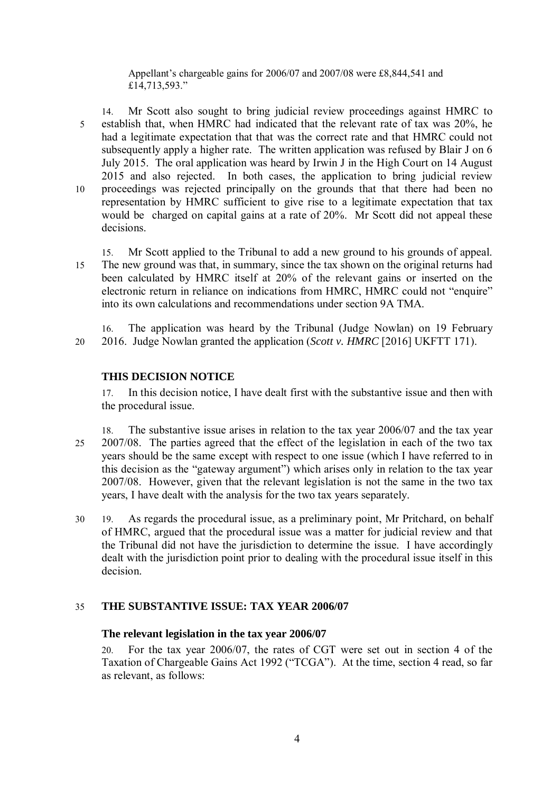Appellant's chargeable gains for 2006/07 and 2007/08 were £8,844,541 and £14,713,593."

14. Mr Scott also sought to bring judicial review proceedings against HMRC to 5 establish that, when HMRC had indicated that the relevant rate of tax was 20%, he had a legitimate expectation that that was the correct rate and that HMRC could not subsequently apply a higher rate. The written application was refused by Blair J on 6 July 2015. The oral application was heard by Irwin J in the High Court on 14 August 2015 and also rejected. In both cases, the application to bring judicial review 10 proceedings was rejected principally on the grounds that that there had been no representation by HMRC sufficient to give rise to a legitimate expectation that tax would be charged on capital gains at a rate of 20%. Mr Scott did not appeal these decisions.

15. Mr Scott applied to the Tribunal to add a new ground to his grounds of appeal. 15 The new ground was that, in summary, since the tax shown on the original returns had been calculated by HMRC itself at 20% of the relevant gains or inserted on the electronic return in reliance on indications from HMRC, HMRC could not "enquire" into its own calculations and recommendations under section 9A TMA.

16. The application was heard by the Tribunal (Judge Nowlan) on 19 February 20 2016. Judge Nowlan granted the application (*Scott v. HMRC* [2016] UKFTT 171).

# **THIS DECISION NOTICE**

17. In this decision notice, I have dealt first with the substantive issue and then with the procedural issue.

- 18. The substantive issue arises in relation to the tax year 2006/07 and the tax year 25 2007/08. The parties agreed that the effect of the legislation in each of the two tax years should be the same except with respect to one issue (which I have referred to in this decision as the "gateway argument") which arises only in relation to the tax year 2007/08. However, given that the relevant legislation is not the same in the two tax years, I have dealt with the analysis for the two tax years separately.
- 30 19. As regards the procedural issue, as a preliminary point, Mr Pritchard, on behalf of HMRC, argued that the procedural issue was a matter for judicial review and that the Tribunal did not have the jurisdiction to determine the issue. I have accordingly dealt with the jurisdiction point prior to dealing with the procedural issue itself in this decision.

# 35 **THE SUBSTANTIVE ISSUE: TAX YEAR 2006/07**

# **The relevant legislation in the tax year 2006/07**

20. For the tax year 2006/07, the rates of CGT were set out in section 4 of the Taxation of Chargeable Gains Act 1992 ("TCGA"). At the time, section 4 read, so far as relevant, as follows: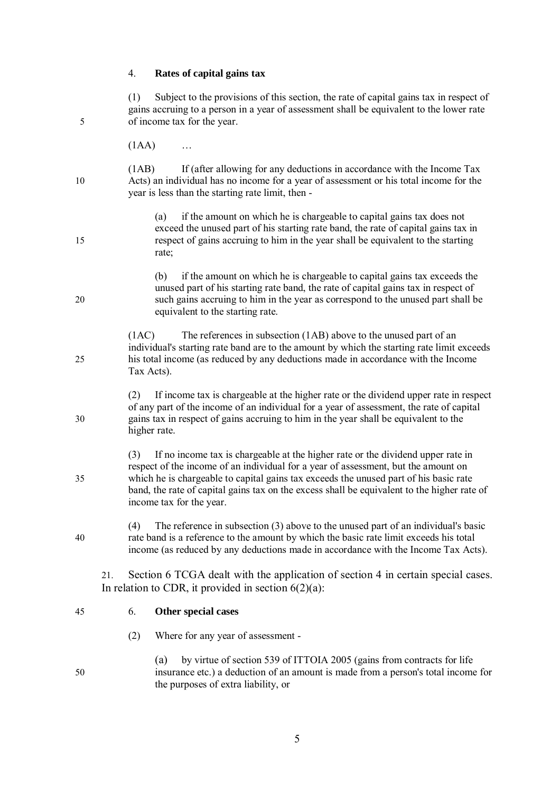# 4. **Rates of capital gains tax**

| 5  | (1)   | Subject to the provisions of this section, the rate of capital gains tax in respect of<br>gains accruing to a person in a year of assessment shall be equivalent to the lower rate<br>of income tax for the year.                                                                                                                                                                         |  |  |  |
|----|-------|-------------------------------------------------------------------------------------------------------------------------------------------------------------------------------------------------------------------------------------------------------------------------------------------------------------------------------------------------------------------------------------------|--|--|--|
|    | (1AA) |                                                                                                                                                                                                                                                                                                                                                                                           |  |  |  |
| 10 | (1AB) | If (after allowing for any deductions in accordance with the Income Tax<br>Acts) an individual has no income for a year of assessment or his total income for the<br>year is less than the starting rate limit, then -                                                                                                                                                                    |  |  |  |
| 15 |       | if the amount on which he is chargeable to capital gains tax does not<br>(a)<br>exceed the unused part of his starting rate band, the rate of capital gains tax in<br>respect of gains accruing to him in the year shall be equivalent to the starting<br>rate;                                                                                                                           |  |  |  |
| 20 |       | if the amount on which he is chargeable to capital gains tax exceeds the<br>(b)<br>unused part of his starting rate band, the rate of capital gains tax in respect of<br>such gains accruing to him in the year as correspond to the unused part shall be<br>equivalent to the starting rate.                                                                                             |  |  |  |
| 25 | (1AC) | The references in subsection (1AB) above to the unused part of an<br>individual's starting rate band are to the amount by which the starting rate limit exceeds<br>his total income (as reduced by any deductions made in accordance with the Income<br>Tax Acts).                                                                                                                        |  |  |  |
| 30 | (2)   | If income tax is chargeable at the higher rate or the dividend upper rate in respect<br>of any part of the income of an individual for a year of assessment, the rate of capital<br>gains tax in respect of gains accruing to him in the year shall be equivalent to the<br>higher rate.                                                                                                  |  |  |  |
| 35 | (3)   | If no income tax is chargeable at the higher rate or the dividend upper rate in<br>respect of the income of an individual for a year of assessment, but the amount on<br>which he is chargeable to capital gains tax exceeds the unused part of his basic rate<br>band, the rate of capital gains tax on the excess shall be equivalent to the higher rate of<br>income tax for the year. |  |  |  |
| 40 | (4)   | The reference in subsection $(3)$ above to the unused part of an individual's basic<br>rate band is a reference to the amount by which the basic rate limit exceeds his total<br>income (as reduced by any deductions made in accordance with the Income Tax Acts).                                                                                                                       |  |  |  |
|    | 21.   | Section 6 TCGA dealt with the application of section 4 in certain special cases.<br>In relation to CDR, it provided in section $6(2)(a)$ :                                                                                                                                                                                                                                                |  |  |  |
| 45 | 6.    | Other special cases                                                                                                                                                                                                                                                                                                                                                                       |  |  |  |
|    | (2)   | Where for any year of assessment -                                                                                                                                                                                                                                                                                                                                                        |  |  |  |
| 50 |       | by virtue of section 539 of ITTOIA 2005 (gains from contracts for life<br>(a)<br>insurance etc.) a deduction of an amount is made from a person's total income for<br>the purposes of extra liability, or                                                                                                                                                                                 |  |  |  |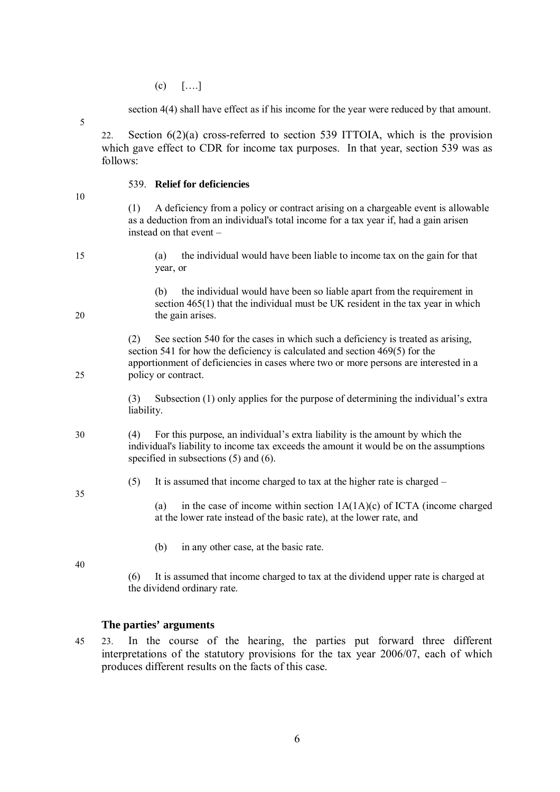$(c)$   $[...]$ 

section 4(4) shall have effect as if his income for the year were reduced by that amount.

22. Section 6(2)(a) cross-referred to section 539 ITTOIA, which is the provision which gave effect to CDR for income tax purposes. In that year, section 539 was as follows:

#### 539. **Relief for deficiencies**

10

5

(1) A deficiency from a policy or contract arising on a chargeable event is allowable as a deduction from an individual's total income for a tax year if, had a gain arisen instead on that event –

15 (a) the individual would have been liable to income tax on the gain for that year, or

(b) the individual would have been so liable apart from the requirement in section 465(1) that the individual must be UK resident in the tax year in which 20 the gain arises.

(2) See section 540 for the cases in which such a deficiency is treated as arising, section 541 for how the deficiency is calculated and section 469(5) for the apportionment of deficiencies in cases where two or more persons are interested in a 25 policy or contract.

> (3) Subsection (1) only applies for the purpose of determining the individual's extra liability.

30 (4) For this purpose, an individual's extra liability is the amount by which the individual's liability to income tax exceeds the amount it would be on the assumptions specified in subsections (5) and (6).

(5) It is assumed that income charged to tax at the higher rate is charged –

(a) in the case of income within section  $1A(1A)(c)$  of ICTA (income charged at the lower rate instead of the basic rate), at the lower rate, and

(b) in any other case, at the basic rate.

40

35

(6) It is assumed that income charged to tax at the dividend upper rate is charged at the dividend ordinary rate.

#### **The parties' arguments**

45 23. In the course of the hearing, the parties put forward three different interpretations of the statutory provisions for the tax year 2006/07, each of which produces different results on the facts of this case.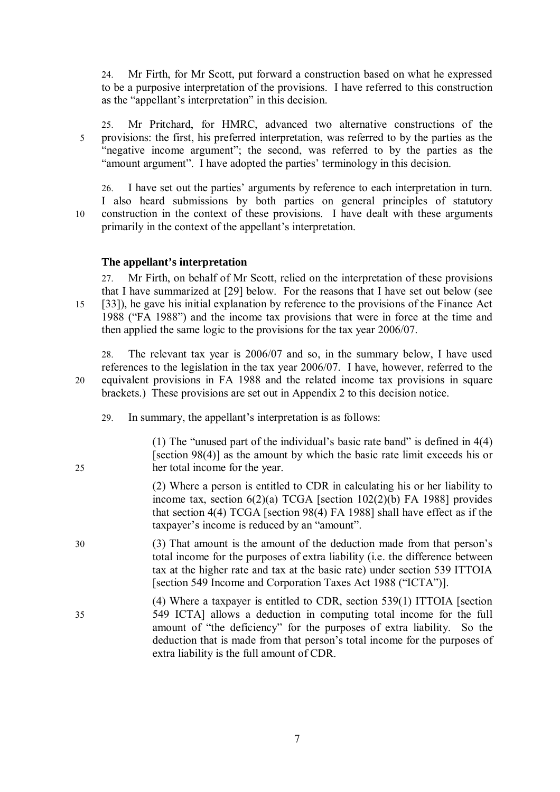24. Mr Firth, for Mr Scott, put forward a construction based on what he expressed to be a purposive interpretation of the provisions. I have referred to this construction as the "appellant's interpretation" in this decision.

25. Mr Pritchard, for HMRC, advanced two alternative constructions of the 5 provisions: the first, his preferred interpretation, was referred to by the parties as the "negative income argument"; the second, was referred to by the parties as the "amount argument". I have adopted the parties' terminology in this decision.

26. I have set out the parties' arguments by reference to each interpretation in turn. I also heard submissions by both parties on general principles of statutory 10 construction in the context of these provisions. I have dealt with these arguments primarily in the context of the appellant's interpretation.

# **The appellant's interpretation**

27. Mr Firth, on behalf of Mr Scott, relied on the interpretation of these provisions that I have summarized at [29] below. For the reasons that I have set out below (see 15 [33]), he gave his initial explanation by reference to the provisions of the Finance Act 1988 ("FA 1988") and the income tax provisions that were in force at the time and then applied the same logic to the provisions for the tax year 2006/07.

28. The relevant tax year is 2006/07 and so, in the summary below, I have used references to the legislation in the tax year 2006/07. I have, however, referred to the 20 equivalent provisions in FA 1988 and the related income tax provisions in square brackets.) These provisions are set out in Appendix 2 to this decision notice.

29. In summary, the appellant's interpretation is as follows:

(1) The "unused part of the individual's basic rate band" is defined in 4(4) [section 98(4)] as the amount by which the basic rate limit exceeds his or 25 her total income for the year.

> (2) Where a person is entitled to CDR in calculating his or her liability to income tax, section  $6(2)(a)$  TCGA [section  $102(2)(b)$  FA 1988] provides that section 4(4) TCGA [section 98(4) FA 1988] shall have effect as if the taxpayer's income is reduced by an "amount".

- 30 (3) That amount is the amount of the deduction made from that person's total income for the purposes of extra liability (i.e. the difference between tax at the higher rate and tax at the basic rate) under section 539 ITTOIA [section 549 Income and Corporation Taxes Act 1988 ("ICTA")].
- (4) Where a taxpayer is entitled to CDR, section 539(1) ITTOIA [section 35 549 ICTA] allows a deduction in computing total income for the full amount of "the deficiency" for the purposes of extra liability. So the deduction that is made from that person's total income for the purposes of extra liability is the full amount of CDR.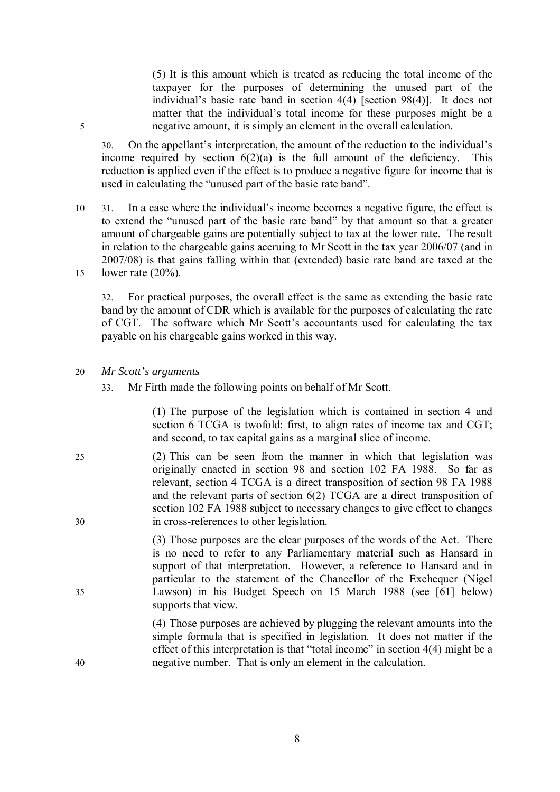(5) It is this amount which is treated as reducing the total income of the taxpayer for the purposes of determining the unused part of the individual's basic rate band in section 4(4) [section 98(4)]. It does not matter that the individual's total income for these purposes might be a 5 negative amount, it is simply an element in the overall calculation.

30. On the appellant's interpretation, the amount of the reduction to the individual's income required by section  $6(2)(a)$  is the full amount of the deficiency. This reduction is applied even if the effect is to produce a negative figure for income that is used in calculating the "unused part of the basic rate band".

10 31. In a case where the individual's income becomes a negative figure, the effect is to extend the "unused part of the basic rate band" by that amount so that a greater amount of chargeable gains are potentially subject to tax at the lower rate. The result in relation to the chargeable gains accruing to Mr Scott in the tax year 2006/07 (and in 2007/08) is that gains falling within that (extended) basic rate band are taxed at the 15 lower rate (20%).

32. For practical purposes, the overall effect is the same as extending the basic rate band by the amount of CDR which is available for the purposes of calculating the rate of CGT. The software which Mr Scott's accountants used for calculating the tax payable on his chargeable gains worked in this way.

#### 20 *Mr Scott's arguments*

33. Mr Firth made the following points on behalf of Mr Scott.

(1) The purpose of the legislation which is contained in section 4 and section 6 TCGA is twofold: first, to align rates of income tax and CGT; and second, to tax capital gains as a marginal slice of income.

25 (2) This can be seen from the manner in which that legislation was originally enacted in section 98 and section 102 FA 1988. So far as relevant, section 4 TCGA is a direct transposition of section 98 FA 1988 and the relevant parts of section 6(2) TCGA are a direct transposition of section 102 FA 1988 subject to necessary changes to give effect to changes 30 in cross-references to other legislation.

(3) Those purposes are the clear purposes of the words of the Act. There is no need to refer to any Parliamentary material such as Hansard in support of that interpretation. However, a reference to Hansard and in particular to the statement of the Chancellor of the Exchequer (Nigel 35 Lawson) in his Budget Speech on 15 March 1988 (see [61] below) supports that view.

(4) Those purposes are achieved by plugging the relevant amounts into the simple formula that is specified in legislation. It does not matter if the effect of this interpretation is that "total income" in section 4(4) might be a 40 negative number. That is only an element in the calculation.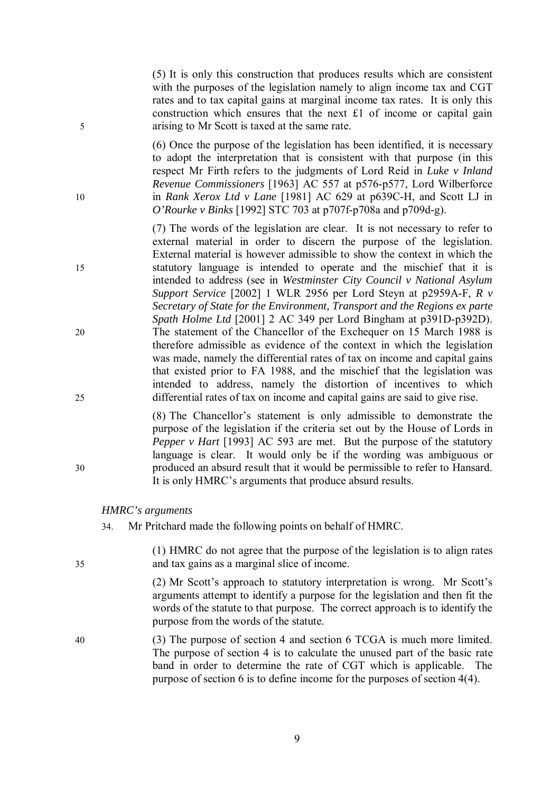(5) It is only this construction that produces results which are consistent with the purposes of the legislation namely to align income tax and CGT rates and to tax capital gains at marginal income tax rates. It is only this construction which ensures that the next £1 of income or capital gain 5 arising to Mr Scott is taxed at the same rate.

(6) Once the purpose of the legislation has been identified, it is necessary to adopt the interpretation that is consistent with that purpose (in this respect Mr Firth refers to the judgments of Lord Reid in *Luke v Inland Revenue Commissioners* [1963] AC 557 at p576-p577, Lord Wilberforce 10 in *Rank Xerox Ltd v Lane* [1981] AC 629 at p639C-H, and Scott LJ in *O'Rourke v Binks* [1992] STC 703 at p707f-p708a and p709d-g).

(7) The words of the legislation are clear. It is not necessary to refer to external material in order to discern the purpose of the legislation. External material is however admissible to show the context in which the 15 statutory language is intended to operate and the mischief that it is intended to address (see in *Westminster City Council v National Asylum Support Service* [2002] 1 WLR 2956 per Lord Steyn at p2959A-F, *R v Secretary of State for the Environment, Transport and the Regions ex parte Spath Holme Ltd* [2001] 2 AC 349 per Lord Bingham at p391D-p392D). 20 The statement of the Chancellor of the Exchequer on 15 March 1988 is therefore admissible as evidence of the context in which the legislation was made, namely the differential rates of tax on income and capital gains that existed prior to FA 1988, and the mischief that the legislation was intended to address, namely the distortion of incentives to which 25 differential rates of tax on income and capital gains are said to give rise.

(8) The Chancellor's statement is only admissible to demonstrate the purpose of the legislation if the criteria set out by the House of Lords in *Pepper v Hart* [1993] AC 593 are met. But the purpose of the statutory language is clear. It would only be if the wording was ambiguous or 30 produced an absurd result that it would be permissible to refer to Hansard. It is only HMRC's arguments that produce absurd results.

## *HMRC's arguments*

34. Mr Pritchard made the following points on behalf of HMRC.

(1) HMRC do not agree that the purpose of the legislation is to align rates 35 and tax gains as a marginal slice of income.

> (2) Mr Scott's approach to statutory interpretation is wrong. Mr Scott's arguments attempt to identify a purpose for the legislation and then fit the words of the statute to that purpose. The correct approach is to identify the purpose from the words of the statute.

40 (3) The purpose of section 4 and section 6 TCGA is much more limited. The purpose of section 4 is to calculate the unused part of the basic rate band in order to determine the rate of CGT which is applicable. The purpose of section 6 is to define income for the purposes of section 4(4).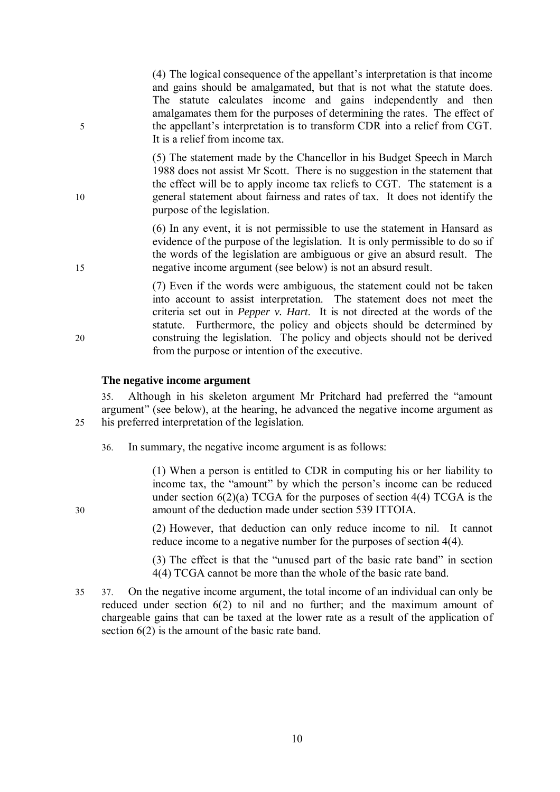(4) The logical consequence of the appellant's interpretation is that income and gains should be amalgamated, but that is not what the statute does. The statute calculates income and gains independently and then amalgamates them for the purposes of determining the rates. The effect of 5 the appellant's interpretation is to transform CDR into a relief from CGT. It is a relief from income tax.

(5) The statement made by the Chancellor in his Budget Speech in March 1988 does not assist Mr Scott. There is no suggestion in the statement that the effect will be to apply income tax reliefs to CGT. The statement is a 10 general statement about fairness and rates of tax. It does not identify the purpose of the legislation.

(6) In any event, it is not permissible to use the statement in Hansard as evidence of the purpose of the legislation. It is only permissible to do so if the words of the legislation are ambiguous or give an absurd result. The 15 negative income argument (see below) is not an absurd result.

(7) Even if the words were ambiguous, the statement could not be taken into account to assist interpretation. The statement does not meet the criteria set out in *Pepper v. Hart*. It is not directed at the words of the statute. Furthermore, the policy and objects should be determined by 20 construing the legislation. The policy and objects should not be derived from the purpose or intention of the executive.

#### **The negative income argument**

35. Although in his skeleton argument Mr Pritchard had preferred the "amount argument" (see below), at the hearing, he advanced the negative income argument as 25 his preferred interpretation of the legislation.

36. In summary, the negative income argument is as follows:

(1) When a person is entitled to CDR in computing his or her liability to income tax, the "amount" by which the person's income can be reduced under section  $6(2)(a)$  TCGA for the purposes of section  $4(4)$  TCGA is the 30 amount of the deduction made under section 539 ITTOIA.

> (2) However, that deduction can only reduce income to nil. It cannot reduce income to a negative number for the purposes of section 4(4).

> (3) The effect is that the "unused part of the basic rate band" in section 4(4) TCGA cannot be more than the whole of the basic rate band.

35 37. On the negative income argument, the total income of an individual can only be reduced under section 6(2) to nil and no further; and the maximum amount of chargeable gains that can be taxed at the lower rate as a result of the application of section 6(2) is the amount of the basic rate band.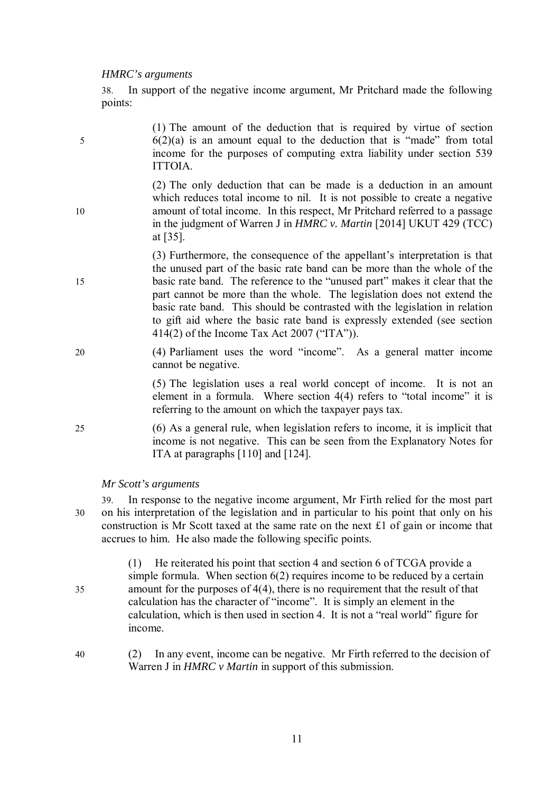#### *HMRC's arguments*

38. In support of the negative income argument, Mr Pritchard made the following points:

(1) The amount of the deduction that is required by virtue of section 5 6(2)(a) is an amount equal to the deduction that is "made" from total income for the purposes of computing extra liability under section 539 ITTOIA.

(2) The only deduction that can be made is a deduction in an amount which reduces total income to nil. It is not possible to create a negative 10 amount of total income. In this respect, Mr Pritchard referred to a passage in the judgment of Warren J in *HMRC v. Martin* [2014] UKUT 429 (TCC) at [35].

(3) Furthermore, the consequence of the appellant's interpretation is that the unused part of the basic rate band can be more than the whole of the 15 basic rate band. The reference to the "unused part" makes it clear that the part cannot be more than the whole. The legislation does not extend the basic rate band. This should be contrasted with the legislation in relation to gift aid where the basic rate band is expressly extended (see section 414(2) of the Income Tax Act 2007 ("ITA")).

20 (4) Parliament uses the word "income". As a general matter income cannot be negative.

> (5) The legislation uses a real world concept of income. It is not an element in a formula. Where section 4(4) refers to "total income" it is referring to the amount on which the taxpayer pays tax.

25 (6) As a general rule, when legislation refers to income, it is implicit that income is not negative. This can be seen from the Explanatory Notes for ITA at paragraphs [110] and [124].

*Mr Scott's arguments*

39. In response to the negative income argument, Mr Firth relied for the most part 30 on his interpretation of the legislation and in particular to his point that only on his construction is Mr Scott taxed at the same rate on the next £1 of gain or income that accrues to him. He also made the following specific points.

(1) He reiterated his point that section 4 and section 6 of TCGA provide a simple formula. When section  $6(2)$  requires income to be reduced by a certain 35 amount for the purposes of 4(4), there is no requirement that the result of that calculation has the character of "income". It is simply an element in the calculation, which is then used in section 4. It is not a "real world" figure for income.

40 (2) In any event, income can be negative. Mr Firth referred to the decision of Warren J in *HMRC v Martin* in support of this submission.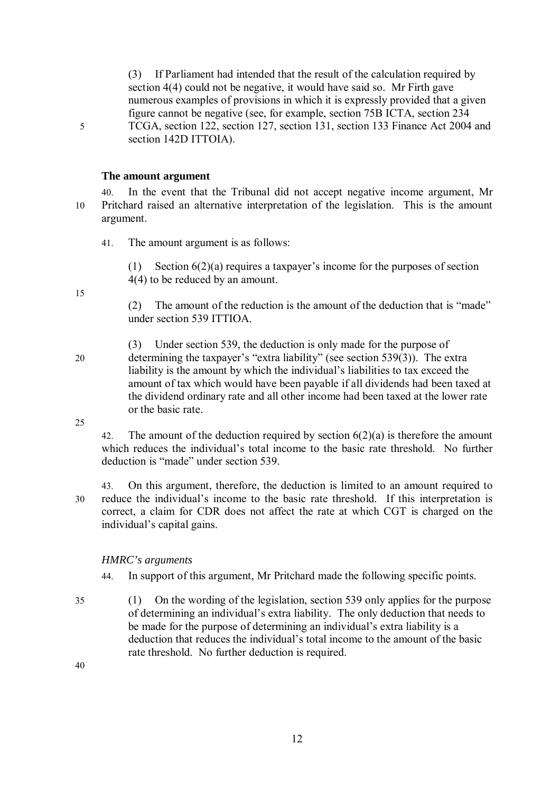(3) If Parliament had intended that the result of the calculation required by section 4(4) could not be negative, it would have said so. Mr Firth gave numerous examples of provisions in which it is expressly provided that a given figure cannot be negative (see, for example, section 75B ICTA, section 234 5 TCGA, section 122, section 127, section 131, section 133 Finance Act 2004 and section 142D ITTOIA).

# **The amount argument**

- 40. In the event that the Tribunal did not accept negative income argument, Mr 10 Pritchard raised an alternative interpretation of the legislation. This is the amount argument.
	- 41. The amount argument is as follows:
		- (1) Section 6(2)(a) requires a taxpayer's income for the purposes of section 4(4) to be reduced by an amount.

15

(2) The amount of the reduction is the amount of the deduction that is "made" under section 539 ITTIOA.

(3) Under section 539, the deduction is only made for the purpose of 20 determining the taxpayer's "extra liability" (see section 539(3)). The extra liability is the amount by which the individual's liabilities to tax exceed the amount of tax which would have been payable if all dividends had been taxed at the dividend ordinary rate and all other income had been taxed at the lower rate or the basic rate.

25

42. The amount of the deduction required by section  $6(2)(a)$  is therefore the amount which reduces the individual's total income to the basic rate threshold. No further deduction is "made" under section 539.

43. On this argument, therefore, the deduction is limited to an amount required to 30 reduce the individual's income to the basic rate threshold. If this interpretation is correct, a claim for CDR does not affect the rate at which CGT is charged on the individual's capital gains.

# *HMRC's arguments*

- 44. In support of this argument, Mr Pritchard made the following specific points.
- 35 (1) On the wording of the legislation, section 539 only applies for the purpose of determining an individual's extra liability. The only deduction that needs to be made for the purpose of determining an individual's extra liability is a deduction that reduces the individual's total income to the amount of the basic rate threshold. No further deduction is required.

40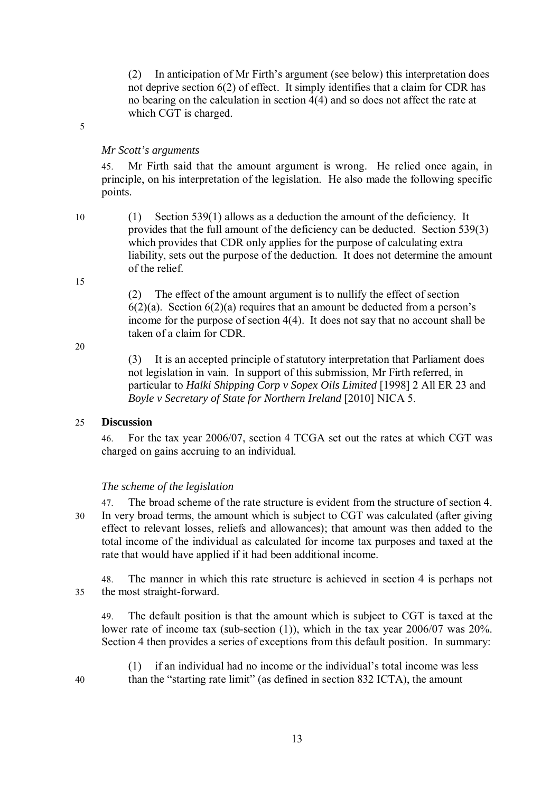(2) In anticipation of Mr Firth's argument (see below) this interpretation does not deprive section 6(2) of effect. It simply identifies that a claim for CDR has no bearing on the calculation in section 4(4) and so does not affect the rate at which CGT is charged.

5

#### *Mr Scott's arguments*

45. Mr Firth said that the amount argument is wrong. He relied once again, in principle, on his interpretation of the legislation. He also made the following specific points.

10 (1) Section 539(1) allows as a deduction the amount of the deficiency. It provides that the full amount of the deficiency can be deducted. Section 539(3) which provides that CDR only applies for the purpose of calculating extra liability, sets out the purpose of the deduction. It does not determine the amount of the relief.

15

(2) The effect of the amount argument is to nullify the effect of section  $6(2)(a)$ . Section  $6(2)(a)$  requires that an amount be deducted from a person's income for the purpose of section 4(4). It does not say that no account shall be taken of a claim for CDR.

20

(3) It is an accepted principle of statutory interpretation that Parliament does not legislation in vain. In support of this submission, Mr Firth referred, in particular to *Halki Shipping Corp v Sopex Oils Limited* [1998] 2 All ER 23 and *Boyle v Secretary of State for Northern Ireland* [2010] NICA 5.

#### 25 **Discussion**

46. For the tax year 2006/07, section 4 TCGA set out the rates at which CGT was charged on gains accruing to an individual.

#### *The scheme of the legislation*

47. The broad scheme of the rate structure is evident from the structure of section 4. 30 In very broad terms, the amount which is subject to CGT was calculated (after giving effect to relevant losses, reliefs and allowances); that amount was then added to the total income of the individual as calculated for income tax purposes and taxed at the rate that would have applied if it had been additional income.

48. The manner in which this rate structure is achieved in section 4 is perhaps not 35 the most straight-forward.

49. The default position is that the amount which is subject to CGT is taxed at the lower rate of income tax (sub-section (1)), which in the tax year 2006/07 was 20%. Section 4 then provides a series of exceptions from this default position. In summary:

(1) if an individual had no income or the individual's total income was less 40 than the "starting rate limit" (as defined in section 832 ICTA), the amount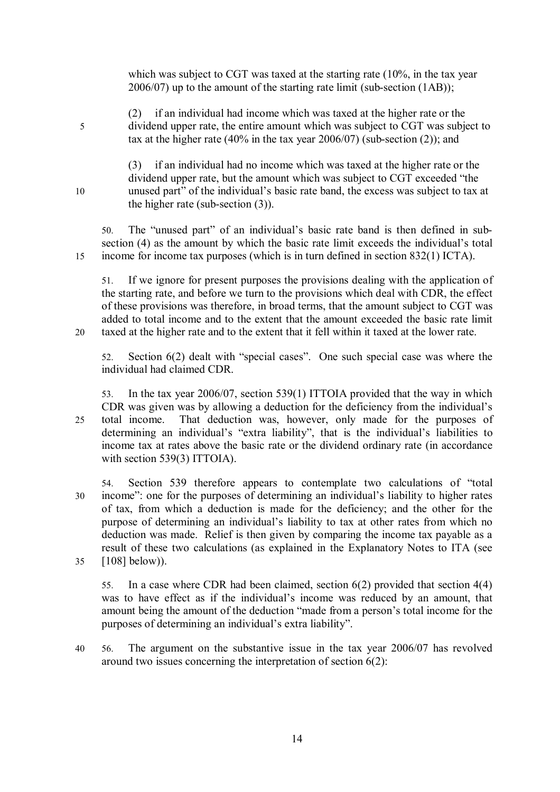which was subject to CGT was taxed at the starting rate (10%, in the tax year 2006/07) up to the amount of the starting rate limit (sub-section (1AB));

(2) if an individual had income which was taxed at the higher rate or the 5 dividend upper rate, the entire amount which was subject to CGT was subject to tax at the higher rate (40% in the tax year 2006/07) (sub-section  $(2)$ ); and

(3) if an individual had no income which was taxed at the higher rate or the dividend upper rate, but the amount which was subject to CGT exceeded "the 10 unused part" of the individual's basic rate band, the excess was subject to tax at the higher rate (sub-section (3)).

50. The "unused part" of an individual's basic rate band is then defined in subsection (4) as the amount by which the basic rate limit exceeds the individual's total 15 income for income tax purposes (which is in turn defined in section 832(1) ICTA).

51. If we ignore for present purposes the provisions dealing with the application of the starting rate, and before we turn to the provisions which deal with CDR, the effect of these provisions was therefore, in broad terms, that the amount subject to CGT was added to total income and to the extent that the amount exceeded the basic rate limit 20 taxed at the higher rate and to the extent that it fell within it taxed at the lower rate.

52. Section 6(2) dealt with "special cases". One such special case was where the individual had claimed CDR.

53. In the tax year 2006/07, section 539(1) ITTOIA provided that the way in which CDR was given was by allowing a deduction for the deficiency from the individual's 25 total income. That deduction was, however, only made for the purposes of determining an individual's "extra liability", that is the individual's liabilities to income tax at rates above the basic rate or the dividend ordinary rate (in accordance with section 539(3) ITTOIA).

54. Section 539 therefore appears to contemplate two calculations of "total 30 income": one for the purposes of determining an individual's liability to higher rates of tax, from which a deduction is made for the deficiency; and the other for the purpose of determining an individual's liability to tax at other rates from which no deduction was made. Relief is then given by comparing the income tax payable as a result of these two calculations (as explained in the Explanatory Notes to ITA (see 35 [108] below)).

55. In a case where CDR had been claimed, section 6(2) provided that section 4(4) was to have effect as if the individual's income was reduced by an amount, that amount being the amount of the deduction "made from a person's total income for the purposes of determining an individual's extra liability".

40 56. The argument on the substantive issue in the tax year 2006/07 has revolved around two issues concerning the interpretation of section 6(2):

14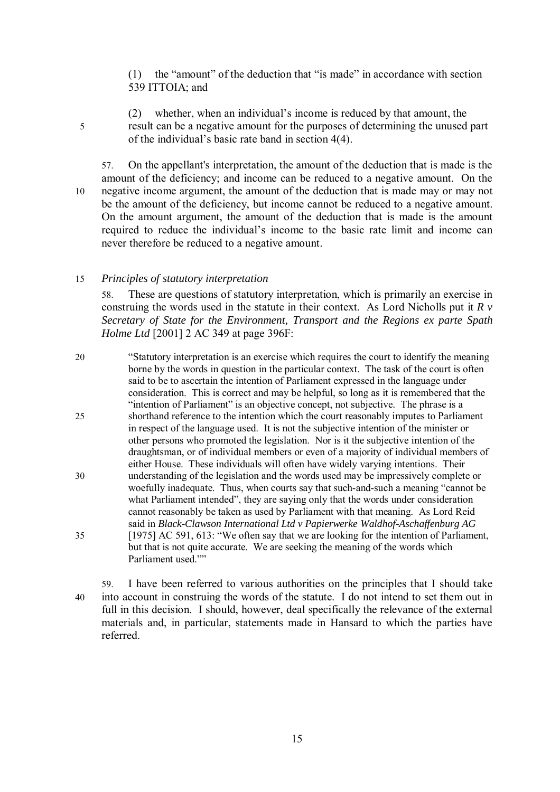(1) the "amount" of the deduction that "is made" in accordance with section 539 ITTOIA; and

(2) whether, when an individual's income is reduced by that amount, the 5 result can be a negative amount for the purposes of determining the unused part of the individual's basic rate band in section 4(4).

57. On the appellant's interpretation, the amount of the deduction that is made is the amount of the deficiency; and income can be reduced to a negative amount. On the 10 negative income argument, the amount of the deduction that is made may or may not be the amount of the deficiency, but income cannot be reduced to a negative amount. On the amount argument, the amount of the deduction that is made is the amount required to reduce the individual's income to the basic rate limit and income can never therefore be reduced to a negative amount.

# 15 *Principles of statutory interpretation*

58. These are questions of statutory interpretation, which is primarily an exercise in construing the words used in the statute in their context. As Lord Nicholls put it *R v Secretary of State for the Environment, Transport and the Regions ex parte Spath Holme Ltd* [2001] 2 AC 349 at page 396F:

20 "Statutory interpretation is an exercise which requires the court to identify the meaning borne by the words in question in the particular context. The task of the court is often said to be to ascertain the intention of Parliament expressed in the language under consideration. This is correct and may be helpful, so long as it is remembered that the "intention of Parliament" is an objective concept, not subjective. The phrase is a 25 shorthand reference to the intention which the court reasonably imputes to Parliament in respect of the language used. It is not the subjective intention of the minister or other persons who promoted the legislation. Nor is it the subjective intention of the draughtsman, or of individual members or even of a majority of individual members of either House. These individuals will often have widely varying intentions. Their 30 understanding of the legislation and the words used may be impressively complete or woefully inadequate. Thus, when courts say that such-and-such a meaning "cannot be what Parliament intended", they are saying only that the words under consideration cannot reasonably be taken as used by Parliament with that meaning. As Lord Reid said in *Black-Clawson International Ltd v Papierwerke Waldhof-Aschaffenburg AG*  35 [1975] AC 591, 613: "We often say that we are looking for the intention of Parliament, but that is not quite accurate. We are seeking the meaning of the words which Parliament used.""

59. I have been referred to various authorities on the principles that I should take 40 into account in construing the words of the statute. I do not intend to set them out in full in this decision. I should, however, deal specifically the relevance of the external materials and, in particular, statements made in Hansard to which the parties have referred.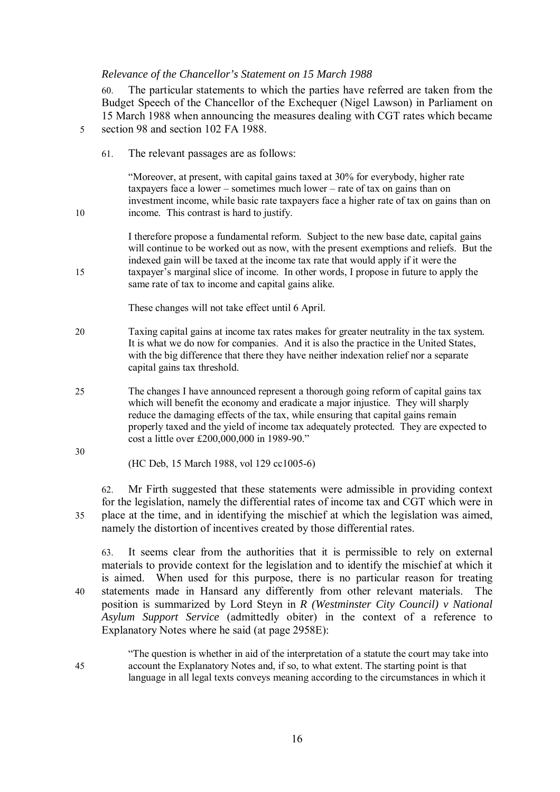#### *Relevance of the Chancellor's Statement on 15 March 1988*

60. The particular statements to which the parties have referred are taken from the Budget Speech of the Chancellor of the Exchequer (Nigel Lawson) in Parliament on 15 March 1988 when announcing the measures dealing with CGT rates which became 5 section 98 and section 102 FA 1988.

61. The relevant passages are as follows:

"Moreover, at present, with capital gains taxed at 30% for everybody, higher rate taxpayers face a lower – sometimes much lower – rate of tax on gains than on investment income, while basic rate taxpayers face a higher rate of tax on gains than on 10 income. This contrast is hard to justify.

I therefore propose a fundamental reform. Subject to the new base date, capital gains will continue to be worked out as now, with the present exemptions and reliefs. But the indexed gain will be taxed at the income tax rate that would apply if it were the 15 taxpayer's marginal slice of income. In other words, I propose in future to apply the same rate of tax to income and capital gains alike.

These changes will not take effect until 6 April.

- 20 Taxing capital gains at income tax rates makes for greater neutrality in the tax system. It is what we do now for companies. And it is also the practice in the United States, with the big difference that there they have neither indexation relief nor a separate capital gains tax threshold.
- 25 The changes I have announced represent a thorough going reform of capital gains tax which will benefit the economy and eradicate a major injustice. They will sharply reduce the damaging effects of the tax, while ensuring that capital gains remain properly taxed and the yield of income tax adequately protected. They are expected to cost a little over £200,000,000 in 1989-90."
	- (HC Deb, 15 March 1988, vol 129 cc1005-6)

62. Mr Firth suggested that these statements were admissible in providing context for the legislation, namely the differential rates of income tax and CGT which were in 35 place at the time, and in identifying the mischief at which the legislation was aimed, namely the distortion of incentives created by those differential rates.

63. It seems clear from the authorities that it is permissible to rely on external materials to provide context for the legislation and to identify the mischief at which it is aimed. When used for this purpose, there is no particular reason for treating 40 statements made in Hansard any differently from other relevant materials. The position is summarized by Lord Steyn in *R (Westminster City Council) v National Asylum Support Service* (admittedly obiter) in the context of a reference to Explanatory Notes where he said (at page 2958E):

"The question is whether in aid of the interpretation of a statute the court may take into 45 account the Explanatory Notes and, if so, to what extent. The starting point is that language in all legal texts conveys meaning according to the circumstances in which it

30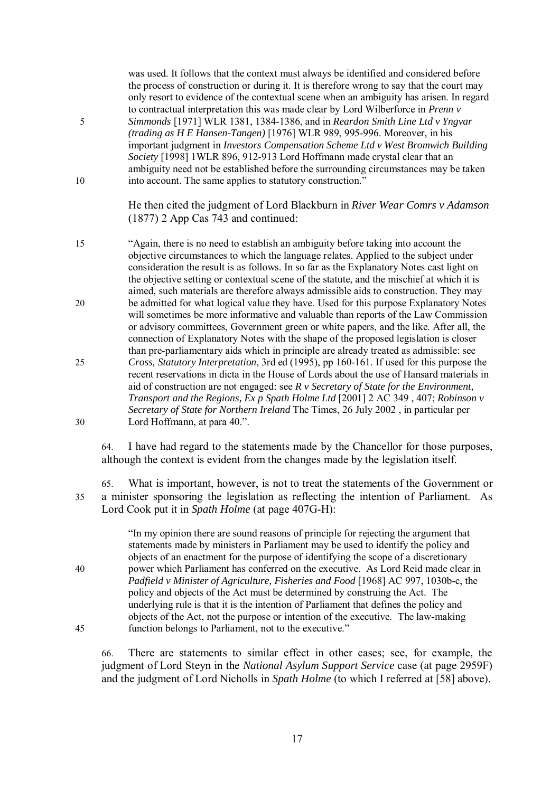was used. It follows that the context must always be identified and considered before the process of construction or during it. It is therefore wrong to say that the court may only resort to evidence of the contextual scene when an ambiguity has arisen. In regard to contractual interpretation this was made clear by Lord Wilberforce in *Prenn v*  5 *Simmonds* [1971] WLR 1381, 1384-1386, and in *Reardon Smith Line Ltd v Yngvar (trading as H E Hansen-Tangen)* [1976] WLR 989, 995-996. Moreover, in his important judgment in *Investors Compensation Scheme Ltd v West Bromwich Building Society* [1998] 1WLR 896, 912-913 Lord Hoffmann made crystal clear that an ambiguity need not be established before the surrounding circumstances may be taken 10 into account. The same applies to statutory construction." He then cited the judgment of Lord Blackburn in *River Wear Comrs v Adamson* (1877) 2 App Cas 743 and continued: 15 "Again, there is no need to establish an ambiguity before taking into account the objective circumstances to which the language relates. Applied to the subject under consideration the result is as follows. In so far as the Explanatory Notes cast light on the objective setting or contextual scene of the statute, and the mischief at which it is aimed, such materials are therefore always admissible aids to construction. They may 20 be admitted for what logical value they have. Used for this purpose Explanatory Notes will sometimes be more informative and valuable than reports of the Law Commission or advisory committees, Government green or white papers, and the like. After all, the connection of Explanatory Notes with the shape of the proposed legislation is closer than pre-parliamentary aids which in principle are already treated as admissible: see 25 *Cross, Statutory Interpretation*, 3rd ed (1995), pp 160-161. If used for this purpose the recent reservations in dicta in the House of Lords about the use of Hansard materials in aid of construction are not engaged: see *R v Secretary of State for the Environment, Transport and the Regions, Ex p Spath Holme Ltd* [2001] 2 AC 349 , 407; *Robinson v Secretary of State for Northern Ireland* The Times, 26 July 2002 , in particular per 30 Lord Hoffmann, at para 40.".

64. I have had regard to the statements made by the Chancellor for those purposes, although the context is evident from the changes made by the legislation itself.

65. What is important, however, is not to treat the statements of the Government or 35 a minister sponsoring the legislation as reflecting the intention of Parliament. As Lord Cook put it in *Spath Holme* (at page 407G-H):

"In my opinion there are sound reasons of principle for rejecting the argument that statements made by ministers in Parliament may be used to identify the policy and objects of an enactment for the purpose of identifying the scope of a discretionary 40 power which Parliament has conferred on the executive. As Lord Reid made clear in *Padfield v Minister of Agriculture, Fisheries and Food* [1968] AC 997, 1030b-c, the policy and objects of the Act must be determined by construing the Act. The underlying rule is that it is the intention of Parliament that defines the policy and objects of the Act, not the purpose or intention of the executive. The law-making 45 function belongs to Parliament, not to the executive."

66. There are statements to similar effect in other cases; see, for example, the judgment of Lord Steyn in the *National Asylum Support Service* case (at page 2959F) and the judgment of Lord Nicholls in *Spath Holme* (to which I referred at [58] above).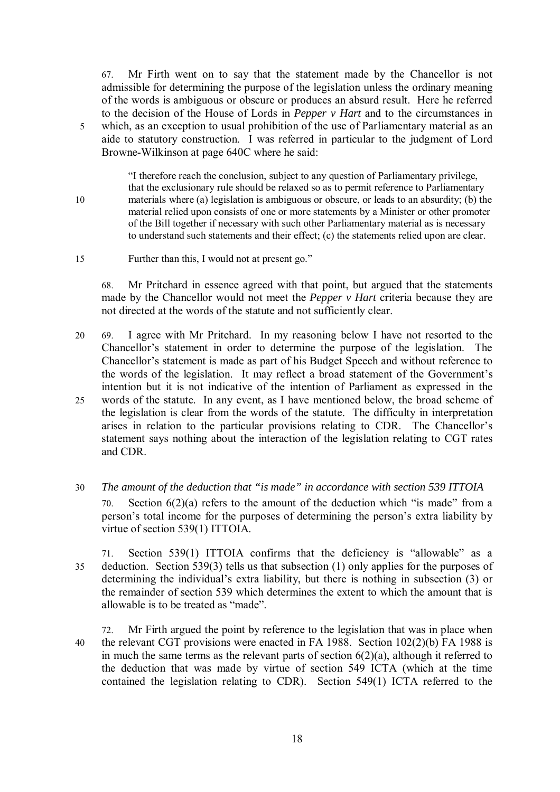67. Mr Firth went on to say that the statement made by the Chancellor is not admissible for determining the purpose of the legislation unless the ordinary meaning of the words is ambiguous or obscure or produces an absurd result. Here he referred to the decision of the House of Lords in *Pepper v Hart* and to the circumstances in 5 which, as an exception to usual prohibition of the use of Parliamentary material as an aide to statutory construction. I was referred in particular to the judgment of Lord Browne-Wilkinson at page 640C where he said:

"I therefore reach the conclusion, subject to any question of Parliamentary privilege, that the exclusionary rule should be relaxed so as to permit reference to Parliamentary 10 materials where (a) legislation is ambiguous or obscure, or leads to an absurdity; (b) the material relied upon consists of one or more statements by a Minister or other promoter of the Bill together if necessary with such other Parliamentary material as is necessary to understand such statements and their effect; (c) the statements relied upon are clear.

15 Further than this, I would not at present go."

68. Mr Pritchard in essence agreed with that point, but argued that the statements made by the Chancellor would not meet the *Pepper v Hart* criteria because they are not directed at the words of the statute and not sufficiently clear.

- 20 69. I agree with Mr Pritchard. In my reasoning below I have not resorted to the Chancellor's statement in order to determine the purpose of the legislation. The Chancellor's statement is made as part of his Budget Speech and without reference to the words of the legislation. It may reflect a broad statement of the Government's intention but it is not indicative of the intention of Parliament as expressed in the 25 words of the statute. In any event, as I have mentioned below, the broad scheme of the legislation is clear from the words of the statute. The difficulty in interpretation arises in relation to the particular provisions relating to CDR. The Chancellor's statement says nothing about the interaction of the legislation relating to CGT rates and CDR.
- 30 *The amount of the deduction that "is made" in accordance with section 539 ITTOIA* 70. Section 6(2)(a) refers to the amount of the deduction which "is made" from a person's total income for the purposes of determining the person's extra liability by virtue of section 539(1) ITTOIA.

71. Section 539(1) ITTOIA confirms that the deficiency is "allowable" as a 35 deduction. Section 539(3) tells us that subsection (1) only applies for the purposes of determining the individual's extra liability, but there is nothing in subsection (3) or the remainder of section 539 which determines the extent to which the amount that is allowable is to be treated as "made".

72. Mr Firth argued the point by reference to the legislation that was in place when 40 the relevant CGT provisions were enacted in FA 1988. Section 102(2)(b) FA 1988 is in much the same terms as the relevant parts of section  $6(2)(a)$ , although it referred to the deduction that was made by virtue of section 549 ICTA (which at the time contained the legislation relating to CDR). Section 549(1) ICTA referred to the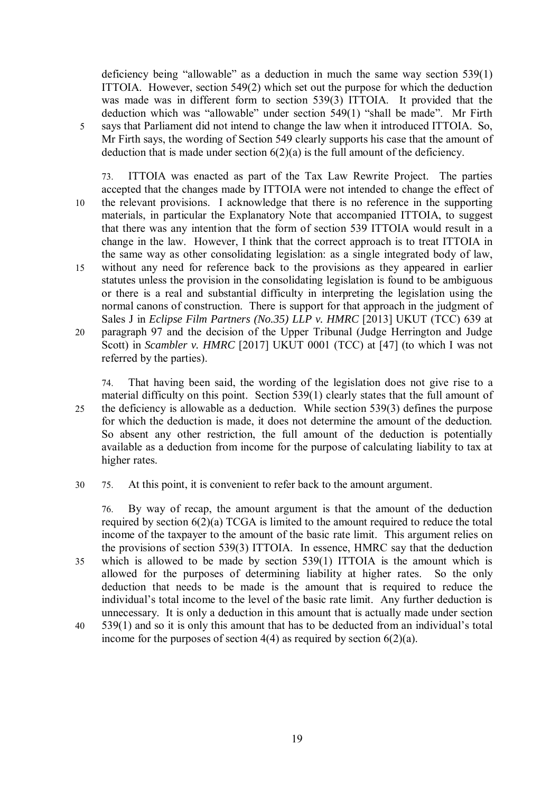deficiency being "allowable" as a deduction in much the same way section 539(1) ITTOIA. However, section 549(2) which set out the purpose for which the deduction was made was in different form to section 539(3) ITTOIA. It provided that the deduction which was "allowable" under section 549(1) "shall be made". Mr Firth 5 says that Parliament did not intend to change the law when it introduced ITTOIA. So, Mr Firth says, the wording of Section 549 clearly supports his case that the amount of deduction that is made under section  $6(2)(a)$  is the full amount of the deficiency.

73. ITTOIA was enacted as part of the Tax Law Rewrite Project. The parties accepted that the changes made by ITTOIA were not intended to change the effect of 10 the relevant provisions. I acknowledge that there is no reference in the supporting materials, in particular the Explanatory Note that accompanied ITTOIA, to suggest that there was any intention that the form of section 539 ITTOIA would result in a change in the law. However, I think that the correct approach is to treat ITTOIA in the same way as other consolidating legislation: as a single integrated body of law, 15 without any need for reference back to the provisions as they appeared in earlier statutes unless the provision in the consolidating legislation is found to be ambiguous or there is a real and substantial difficulty in interpreting the legislation using the normal canons of construction. There is support for that approach in the judgment of Sales J in *Eclipse Film Partners (No.35) LLP v. HMRC* [2013] UKUT (TCC) 639 at 20 paragraph 97 and the decision of the Upper Tribunal (Judge Herrington and Judge Scott) in *Scambler v. HMRC* [2017] UKUT 0001 (TCC) at [47] (to which I was not referred by the parties).

74. That having been said, the wording of the legislation does not give rise to a material difficulty on this point. Section 539(1) clearly states that the full amount of 25 the deficiency is allowable as a deduction. While section 539(3) defines the purpose for which the deduction is made, it does not determine the amount of the deduction. So absent any other restriction, the full amount of the deduction is potentially available as a deduction from income for the purpose of calculating liability to tax at higher rates.

30 75. At this point, it is convenient to refer back to the amount argument.

76. By way of recap, the amount argument is that the amount of the deduction required by section 6(2)(a) TCGA is limited to the amount required to reduce the total income of the taxpayer to the amount of the basic rate limit. This argument relies on the provisions of section 539(3) ITTOIA. In essence, HMRC say that the deduction 35 which is allowed to be made by section 539(1) ITTOIA is the amount which is allowed for the purposes of determining liability at higher rates. So the only deduction that needs to be made is the amount that is required to reduce the individual's total income to the level of the basic rate limit. Any further deduction is unnecessary. It is only a deduction in this amount that is actually made under section 40 539(1) and so it is only this amount that has to be deducted from an individual's total

income for the purposes of section  $4(4)$  as required by section  $6(2)(a)$ .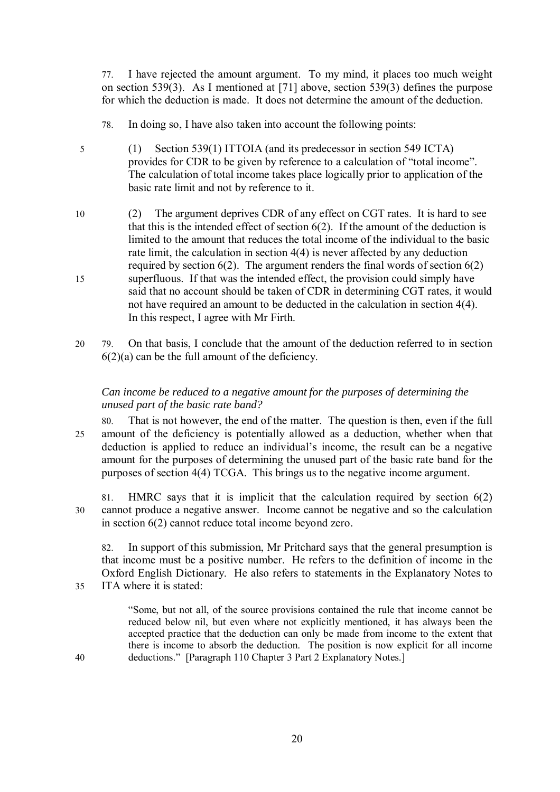77. I have rejected the amount argument. To my mind, it places too much weight on section 539(3). As I mentioned at [71] above, section 539(3) defines the purpose for which the deduction is made. It does not determine the amount of the deduction.

- 78. In doing so, I have also taken into account the following points:
- 5 (1) Section 539(1) ITTOIA (and its predecessor in section 549 ICTA) provides for CDR to be given by reference to a calculation of "total income". The calculation of total income takes place logically prior to application of the basic rate limit and not by reference to it.
- 10 (2) The argument deprives CDR of any effect on CGT rates. It is hard to see that this is the intended effect of section 6(2). If the amount of the deduction is limited to the amount that reduces the total income of the individual to the basic rate limit, the calculation in section 4(4) is never affected by any deduction required by section  $6(2)$ . The argument renders the final words of section  $6(2)$ 15 superfluous. If that was the intended effect, the provision could simply have said that no account should be taken of CDR in determining CGT rates, it would not have required an amount to be deducted in the calculation in section 4(4). In this respect, I agree with Mr Firth.
- 20 79. On that basis, I conclude that the amount of the deduction referred to in section  $6(2)(a)$  can be the full amount of the deficiency.

# *Can income be reduced to a negative amount for the purposes of determining the unused part of the basic rate band?*

80. That is not however, the end of the matter. The question is then, even if the full 25 amount of the deficiency is potentially allowed as a deduction, whether when that deduction is applied to reduce an individual's income, the result can be a negative amount for the purposes of determining the unused part of the basic rate band for the purposes of section 4(4) TCGA. This brings us to the negative income argument.

81. HMRC says that it is implicit that the calculation required by section 6(2) 30 cannot produce a negative answer. Income cannot be negative and so the calculation in section 6(2) cannot reduce total income beyond zero.

82. In support of this submission, Mr Pritchard says that the general presumption is that income must be a positive number. He refers to the definition of income in the Oxford English Dictionary. He also refers to statements in the Explanatory Notes to 35 ITA where it is stated:

"Some, but not all, of the source provisions contained the rule that income cannot be reduced below nil, but even where not explicitly mentioned, it has always been the accepted practice that the deduction can only be made from income to the extent that there is income to absorb the deduction. The position is now explicit for all income 40 deductions." [Paragraph 110 Chapter 3 Part 2 Explanatory Notes.]

20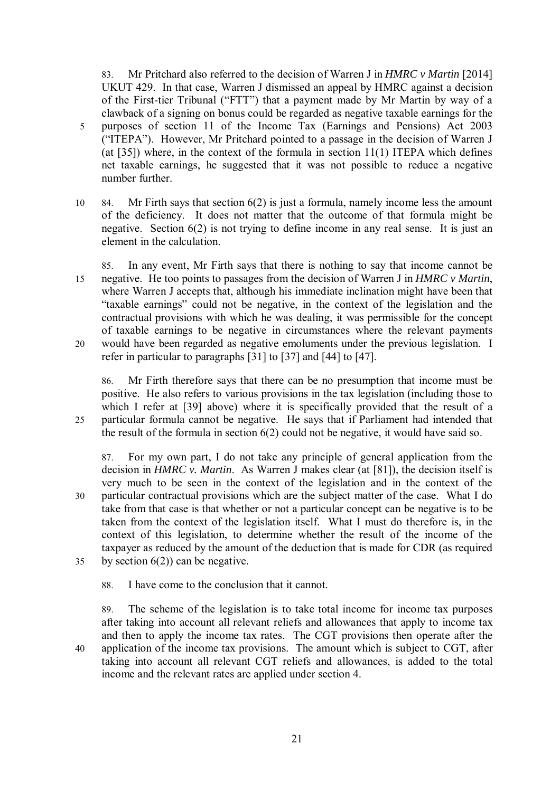83. Mr Pritchard also referred to the decision of Warren J in *HMRC v Martin* [2014] UKUT 429. In that case, Warren J dismissed an appeal by HMRC against a decision of the First-tier Tribunal ("FTT") that a payment made by Mr Martin by way of a clawback of a signing on bonus could be regarded as negative taxable earnings for the 5 purposes of section 11 of the Income Tax (Earnings and Pensions) Act 2003 ("ITEPA"). However, Mr Pritchard pointed to a passage in the decision of Warren J (at [35]) where, in the context of the formula in section 11(1) ITEPA which defines net taxable earnings, he suggested that it was not possible to reduce a negative number further.

- 10 84. Mr Firth says that section 6(2) is just a formula, namely income less the amount of the deficiency. It does not matter that the outcome of that formula might be negative. Section 6(2) is not trying to define income in any real sense. It is just an element in the calculation.
- 85. In any event, Mr Firth says that there is nothing to say that income cannot be 15 negative. He too points to passages from the decision of Warren J in *HMRC v Martin*, where Warren J accepts that, although his immediate inclination might have been that "taxable earnings" could not be negative, in the context of the legislation and the contractual provisions with which he was dealing, it was permissible for the concept of taxable earnings to be negative in circumstances where the relevant payments 20 would have been regarded as negative emoluments under the previous legislation. I refer in particular to paragraphs [31] to [37] and [44] to [47].

86. Mr Firth therefore says that there can be no presumption that income must be positive. He also refers to various provisions in the tax legislation (including those to which I refer at [39] above) where it is specifically provided that the result of a 25 particular formula cannot be negative. He says that if Parliament had intended that the result of the formula in section 6(2) could not be negative, it would have said so.

87. For my own part, I do not take any principle of general application from the decision in *HMRC v. Martin*. As Warren J makes clear (at [81]), the decision itself is very much to be seen in the context of the legislation and in the context of the 30 particular contractual provisions which are the subject matter of the case. What I do take from that case is that whether or not a particular concept can be negative is to be taken from the context of the legislation itself. What I must do therefore is, in the context of this legislation, to determine whether the result of the income of the taxpayer as reduced by the amount of the deduction that is made for CDR (as required 35 by section  $6(2)$ ) can be negative.

88. I have come to the conclusion that it cannot.

89. The scheme of the legislation is to take total income for income tax purposes after taking into account all relevant reliefs and allowances that apply to income tax and then to apply the income tax rates. The CGT provisions then operate after the 40 application of the income tax provisions. The amount which is subject to CGT, after taking into account all relevant CGT reliefs and allowances, is added to the total income and the relevant rates are applied under section 4.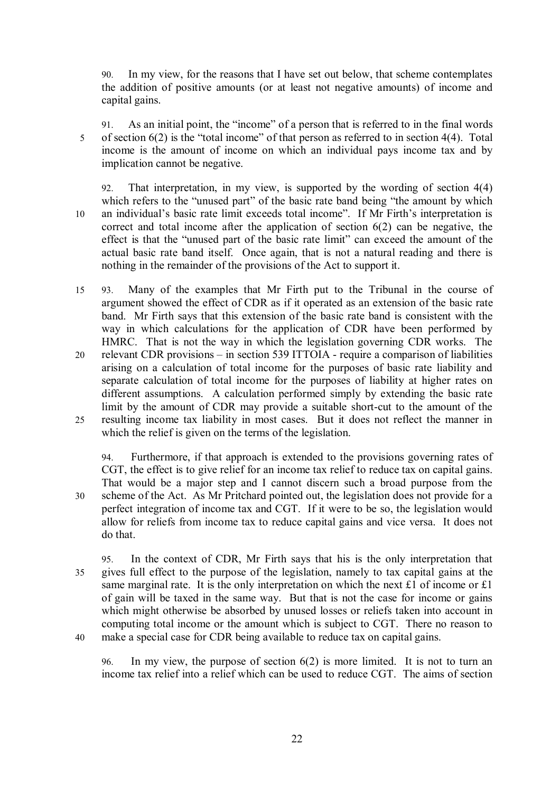90. In my view, for the reasons that I have set out below, that scheme contemplates the addition of positive amounts (or at least not negative amounts) of income and capital gains.

- 91. As an initial point, the "income" of a person that is referred to in the final words 5 of section 6(2) is the "total income" of that person as referred to in section 4(4). Total income is the amount of income on which an individual pays income tax and by implication cannot be negative.
- 92. That interpretation, in my view, is supported by the wording of section 4(4) which refers to the "unused part" of the basic rate band being "the amount by which 10 an individual's basic rate limit exceeds total income". If Mr Firth's interpretation is correct and total income after the application of section 6(2) can be negative, the effect is that the "unused part of the basic rate limit" can exceed the amount of the actual basic rate band itself. Once again, that is not a natural reading and there is nothing in the remainder of the provisions of the Act to support it.
- 15 93. Many of the examples that Mr Firth put to the Tribunal in the course of argument showed the effect of CDR as if it operated as an extension of the basic rate band. Mr Firth says that this extension of the basic rate band is consistent with the way in which calculations for the application of CDR have been performed by HMRC. That is not the way in which the legislation governing CDR works. The 20 relevant CDR provisions – in section 539 ITTOIA - require a comparison of liabilities arising on a calculation of total income for the purposes of basic rate liability and separate calculation of total income for the purposes of liability at higher rates on different assumptions. A calculation performed simply by extending the basic rate limit by the amount of CDR may provide a suitable short-cut to the amount of the 25 resulting income tax liability in most cases. But it does not reflect the manner in which the relief is given on the terms of the legislation.

94. Furthermore, if that approach is extended to the provisions governing rates of CGT, the effect is to give relief for an income tax relief to reduce tax on capital gains. That would be a major step and I cannot discern such a broad purpose from the 30 scheme of the Act. As Mr Pritchard pointed out, the legislation does not provide for a perfect integration of income tax and CGT. If it were to be so, the legislation would allow for reliefs from income tax to reduce capital gains and vice versa. It does not do that.

95. In the context of CDR, Mr Firth says that his is the only interpretation that 35 gives full effect to the purpose of the legislation, namely to tax capital gains at the same marginal rate. It is the only interpretation on which the next £1 of income or £1 of gain will be taxed in the same way. But that is not the case for income or gains which might otherwise be absorbed by unused losses or reliefs taken into account in computing total income or the amount which is subject to CGT. There no reason to 40 make a special case for CDR being available to reduce tax on capital gains.

96. In my view, the purpose of section 6(2) is more limited. It is not to turn an income tax relief into a relief which can be used to reduce CGT. The aims of section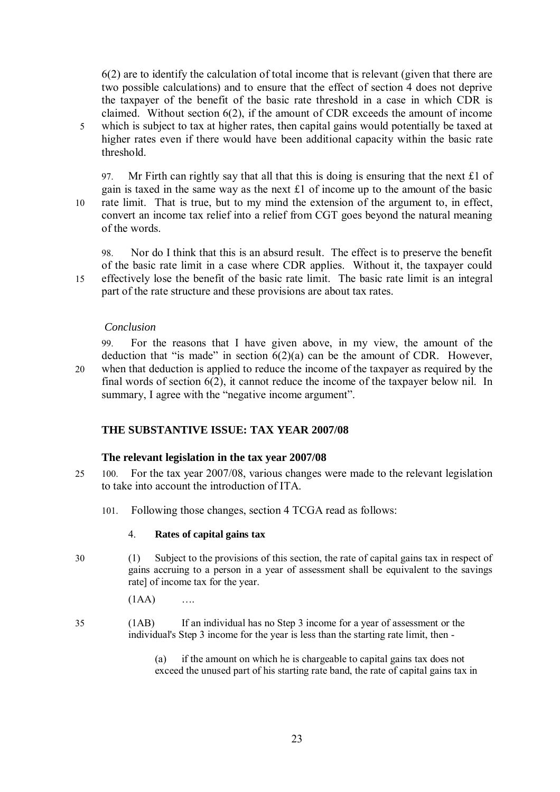6(2) are to identify the calculation of total income that is relevant (given that there are two possible calculations) and to ensure that the effect of section 4 does not deprive the taxpayer of the benefit of the basic rate threshold in a case in which CDR is claimed. Without section  $6(2)$ , if the amount of CDR exceeds the amount of income 5 which is subject to tax at higher rates, then capital gains would potentially be taxed at higher rates even if there would have been additional capacity within the basic rate threshold.

97. Mr Firth can rightly say that all that this is doing is ensuring that the next £1 of gain is taxed in the same way as the next £1 of income up to the amount of the basic 10 rate limit. That is true, but to my mind the extension of the argument to, in effect, convert an income tax relief into a relief from CGT goes beyond the natural meaning of the words.

98. Nor do I think that this is an absurd result. The effect is to preserve the benefit of the basic rate limit in a case where CDR applies. Without it, the taxpayer could 15 effectively lose the benefit of the basic rate limit. The basic rate limit is an integral part of the rate structure and these provisions are about tax rates.

# *Conclusion*

99. For the reasons that I have given above, in my view, the amount of the deduction that "is made" in section  $6(2)(a)$  can be the amount of CDR. However, 20 when that deduction is applied to reduce the income of the taxpayer as required by the final words of section 6(2), it cannot reduce the income of the taxpayer below nil. In summary, I agree with the "negative income argument".

# **THE SUBSTANTIVE ISSUE: TAX YEAR 2007/08**

# **The relevant legislation in the tax year 2007/08**

- 25 100. For the tax year 2007/08, various changes were made to the relevant legislation to take into account the introduction of ITA.
	- 101. Following those changes, section 4 TCGA read as follows:

#### 4. **Rates of capital gains tax**

30 (1) Subject to the provisions of this section, the rate of capital gains tax in respect of gains accruing to a person in a year of assessment shall be equivalent to the savings rate] of income tax for the year.

 $(1AA)$  ….

35 (1AB) If an individual has no Step 3 income for a year of assessment or the individual's Step 3 income for the year is less than the starting rate limit, then -

> (a) if the amount on which he is chargeable to capital gains tax does not exceed the unused part of his starting rate band, the rate of capital gains tax in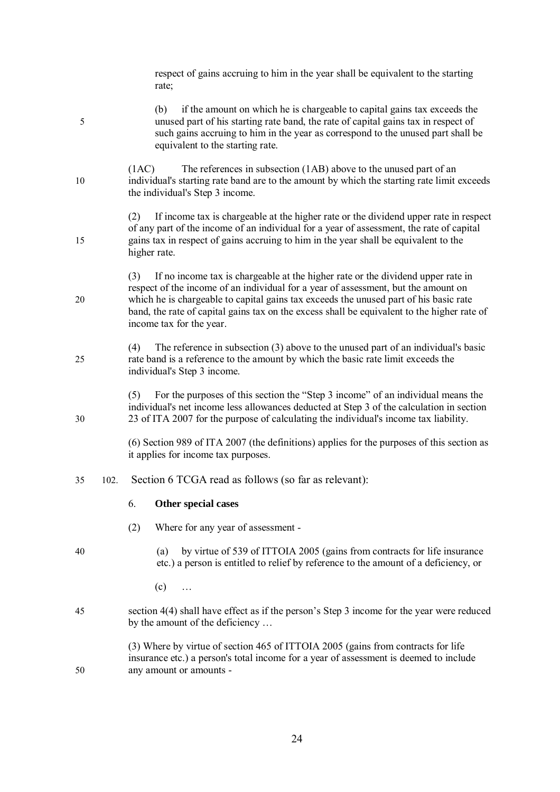|    |      | respect of gains accruing to him in the year shall be equivalent to the starting<br>rate;                                                                                                                                                                                                                                                                                                        |  |  |  |
|----|------|--------------------------------------------------------------------------------------------------------------------------------------------------------------------------------------------------------------------------------------------------------------------------------------------------------------------------------------------------------------------------------------------------|--|--|--|
| 5  |      | if the amount on which he is chargeable to capital gains tax exceeds the<br>(b)<br>unused part of his starting rate band, the rate of capital gains tax in respect of<br>such gains accruing to him in the year as correspond to the unused part shall be<br>equivalent to the starting rate.                                                                                                    |  |  |  |
| 10 |      | The references in subsection (1AB) above to the unused part of an<br>(1AC)<br>individual's starting rate band are to the amount by which the starting rate limit exceeds<br>the individual's Step 3 income.                                                                                                                                                                                      |  |  |  |
| 15 |      | If income tax is chargeable at the higher rate or the dividend upper rate in respect<br>(2)<br>of any part of the income of an individual for a year of assessment, the rate of capital<br>gains tax in respect of gains accruing to him in the year shall be equivalent to the<br>higher rate.                                                                                                  |  |  |  |
| 20 |      | If no income tax is chargeable at the higher rate or the dividend upper rate in<br>(3)<br>respect of the income of an individual for a year of assessment, but the amount on<br>which he is chargeable to capital gains tax exceeds the unused part of his basic rate<br>band, the rate of capital gains tax on the excess shall be equivalent to the higher rate of<br>income tax for the year. |  |  |  |
| 25 |      | The reference in subsection $(3)$ above to the unused part of an individual's basic<br>(4)<br>rate band is a reference to the amount by which the basic rate limit exceeds the<br>individual's Step 3 income.                                                                                                                                                                                    |  |  |  |
| 30 |      | For the purposes of this section the "Step 3 income" of an individual means the<br>(5)<br>individual's net income less allowances deducted at Step 3 of the calculation in section<br>23 of ITA 2007 for the purpose of calculating the individual's income tax liability.                                                                                                                       |  |  |  |
|    |      | (6) Section 989 of ITA 2007 (the definitions) applies for the purposes of this section as<br>it applies for income tax purposes.                                                                                                                                                                                                                                                                 |  |  |  |
| 35 | 102. | Section 6 TCGA read as follows (so far as relevant):                                                                                                                                                                                                                                                                                                                                             |  |  |  |
|    |      | 6.<br>Other special cases                                                                                                                                                                                                                                                                                                                                                                        |  |  |  |
|    |      | (2)<br>Where for any year of assessment -                                                                                                                                                                                                                                                                                                                                                        |  |  |  |
| 40 |      | by virtue of 539 of ITTOIA 2005 (gains from contracts for life insurance<br>(a)<br>etc.) a person is entitled to relief by reference to the amount of a deficiency, or                                                                                                                                                                                                                           |  |  |  |
|    |      | $(c)$                                                                                                                                                                                                                                                                                                                                                                                            |  |  |  |
| 45 |      | section 4(4) shall have effect as if the person's Step 3 income for the year were reduced<br>by the amount of the deficiency                                                                                                                                                                                                                                                                     |  |  |  |
| 50 |      | (3) Where by virtue of section 465 of ITTOIA 2005 (gains from contracts for life<br>insurance etc.) a person's total income for a year of assessment is deemed to include<br>any amount or amounts -                                                                                                                                                                                             |  |  |  |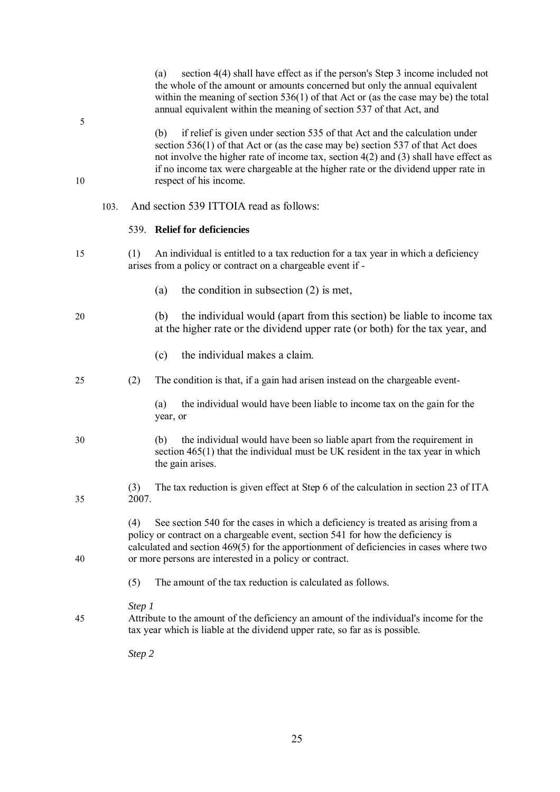|     | within the meaning of section $536(1)$ of that Act or (as the case may be) the total<br>annual equivalent within the meaning of section 537 of that Act, and                                                                                                                                                                                                                    |
|-----|---------------------------------------------------------------------------------------------------------------------------------------------------------------------------------------------------------------------------------------------------------------------------------------------------------------------------------------------------------------------------------|
|     | if relief is given under section 535 of that Act and the calculation under<br>(b)<br>section 536(1) of that Act or (as the case may be) section 537 of that Act does<br>not involve the higher rate of income tax, section $4(2)$ and $(3)$ shall have effect as<br>if no income tax were chargeable at the higher rate or the dividend upper rate in<br>respect of his income. |
|     | And section 539 ITTOIA read as follows:                                                                                                                                                                                                                                                                                                                                         |
|     | 539. Relief for deficiencies                                                                                                                                                                                                                                                                                                                                                    |
| (1) | An individual is entitled to a tax reduction for a tax year in which a deficiency<br>arises from a policy or contract on a chargeable event if -                                                                                                                                                                                                                                |
|     | the condition in subsection $(2)$ is met,<br>(a)                                                                                                                                                                                                                                                                                                                                |
|     | the individual would (apart from this section) be liable to income tax<br>(b)<br>at the higher rate or the dividend upper rate (or both) for the tax year, and                                                                                                                                                                                                                  |
|     | the individual makes a claim.<br>(c)                                                                                                                                                                                                                                                                                                                                            |
| (2) | The condition is that, if a gain had arisen instead on the chargeable event-                                                                                                                                                                                                                                                                                                    |
|     | the individual would have been liable to income tax on the gain for the<br>(a)<br>year, or                                                                                                                                                                                                                                                                                      |
|     | the individual would have been so liable apart from the requirement in<br>(b)<br>section $465(1)$ that the individual must be UK resident in the tax year in which<br>the gain arises.                                                                                                                                                                                          |
| (3) | The tax reduction is given effect at Step 6 of the calculation in section 23 of ITA                                                                                                                                                                                                                                                                                             |
| (4) | See section 540 for the cases in which a deficiency is treated as arising from a<br>policy or contract on a chargeable event, section 541 for how the deficiency is<br>calculated and section 469(5) for the apportionment of deficiencies in cases where two<br>or more persons are interested in a policy or contract.                                                        |
| (5) | The amount of the tax reduction is calculated as follows.                                                                                                                                                                                                                                                                                                                       |
|     | Attribute to the amount of the deficiency an amount of the individual's income for the<br>tax year which is liable at the dividend upper rate, so far as is possible.                                                                                                                                                                                                           |
|     |                                                                                                                                                                                                                                                                                                                                                                                 |
|     | 103.<br>2007.<br>Step 1<br>Step 2                                                                                                                                                                                                                                                                                                                                               |

(a) section 4(4) shall have effect as if the person's Step 3 income included not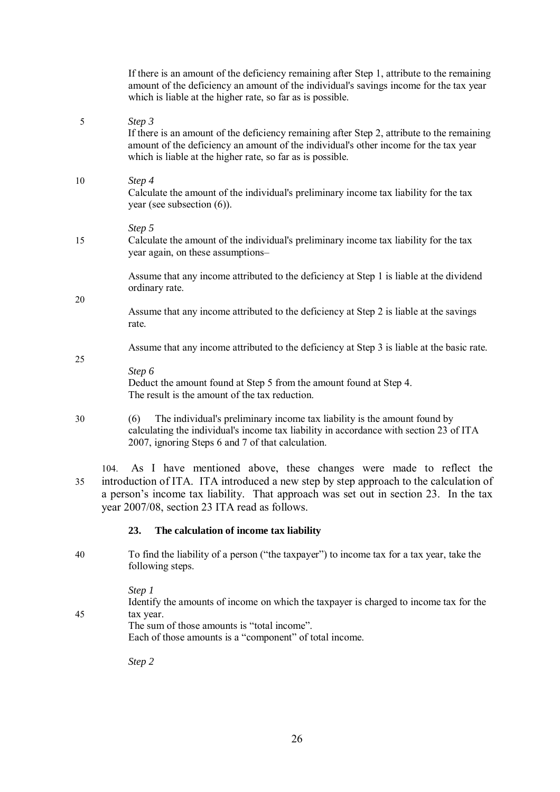|    | If there is an amount of the deficiency remaining after Step 1, attribute to the remaining<br>amount of the deficiency an amount of the individual's savings income for the tax year<br>which is liable at the higher rate, so far as is possible.                                                          |
|----|-------------------------------------------------------------------------------------------------------------------------------------------------------------------------------------------------------------------------------------------------------------------------------------------------------------|
| 5  | Step 3<br>If there is an amount of the deficiency remaining after Step 2, attribute to the remaining<br>amount of the deficiency an amount of the individual's other income for the tax year<br>which is liable at the higher rate, so far as is possible.                                                  |
| 10 | Step 4<br>Calculate the amount of the individual's preliminary income tax liability for the tax<br>year (see subsection $(6)$ ).                                                                                                                                                                            |
| 15 | Step 5<br>Calculate the amount of the individual's preliminary income tax liability for the tax<br>year again, on these assumptions-                                                                                                                                                                        |
|    | Assume that any income attributed to the deficiency at Step 1 is liable at the dividend<br>ordinary rate.                                                                                                                                                                                                   |
| 20 | Assume that any income attributed to the deficiency at Step 2 is liable at the savings<br>rate.                                                                                                                                                                                                             |
| 25 | Assume that any income attributed to the deficiency at Step 3 is liable at the basic rate.                                                                                                                                                                                                                  |
|    | Step 6<br>Deduct the amount found at Step 5 from the amount found at Step 4.<br>The result is the amount of the tax reduction.                                                                                                                                                                              |
| 30 | The individual's preliminary income tax liability is the amount found by<br>(6)<br>calculating the individual's income tax liability in accordance with section 23 of ITA<br>2007, ignoring Steps 6 and 7 of that calculation.                                                                              |
| 35 | As I have mentioned above, these changes were made to reflect the<br>104.<br>introduction of ITA. ITA introduced a new step by step approach to the calculation of<br>a person's income tax liability. That approach was set out in section 23. In the tax<br>year 2007/08, section 23 ITA read as follows. |
|    | 23.<br>The calculation of income tax liability                                                                                                                                                                                                                                                              |
| 40 | To find the liability of a person ("the taxpayer") to income tax for a tax year, take the<br>following steps.                                                                                                                                                                                               |
|    | Step 1<br>Identify the amounts of income on which the taxpayer is charged to income tax for the                                                                                                                                                                                                             |

45 tax year.

The sum of those amounts is "total income".

Each of those amounts is a "component" of total income.

*Step 2*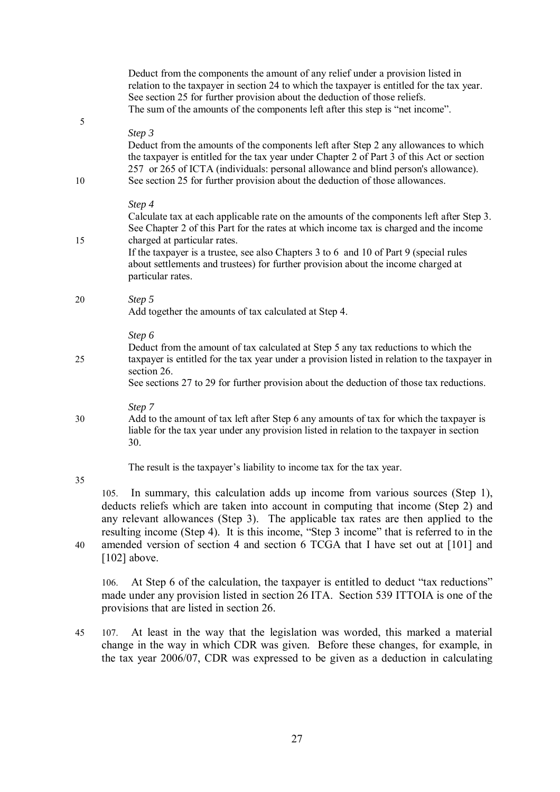|         | Deduct from the components the amount of any relief under a provision listed in<br>relation to the taxpayer in section 24 to which the taxpayer is entitled for the tax year.<br>See section 25 for further provision about the deduction of those reliefs.<br>The sum of the amounts of the components left after this step is "net income".                                                                                     |
|---------|-----------------------------------------------------------------------------------------------------------------------------------------------------------------------------------------------------------------------------------------------------------------------------------------------------------------------------------------------------------------------------------------------------------------------------------|
| 5<br>10 | Step 3<br>Deduct from the amounts of the components left after Step 2 any allowances to which<br>the taxpayer is entitled for the tax year under Chapter 2 of Part 3 of this Act or section<br>257 or 265 of ICTA (individuals: personal allowance and blind person's allowance).<br>See section 25 for further provision about the deduction of those allowances.                                                                |
| 15      | Step 4<br>Calculate tax at each applicable rate on the amounts of the components left after Step 3.<br>See Chapter 2 of this Part for the rates at which income tax is charged and the income<br>charged at particular rates.<br>If the taxpayer is a trustee, see also Chapters 3 to 6 and 10 of Part 9 (special rules<br>about settlements and trustees) for further provision about the income charged at<br>particular rates. |
| 20      | Step 5<br>Add together the amounts of tax calculated at Step 4.                                                                                                                                                                                                                                                                                                                                                                   |
| 25      | Step 6<br>Deduct from the amount of tax calculated at Step 5 any tax reductions to which the<br>taxpayer is entitled for the tax year under a provision listed in relation to the taxpayer in<br>section 26.<br>See sections 27 to 29 for further provision about the deduction of those tax reductions.                                                                                                                          |
| 30      | Step 7<br>Add to the amount of tax left after Step 6 any amounts of tax for which the taxpayer is<br>liable for the tax year under any provision listed in relation to the taxpayer in section<br>30.                                                                                                                                                                                                                             |
| 35      | The result is the taxpayer's liability to income tax for the tax year.<br>In summary, this calculation adds up income from various sources (Step 1),                                                                                                                                                                                                                                                                              |
|         | 105.<br>deducts reliefs which are taken into account in computing that income (Step 2) and<br>any relevant allowances (Step 3). The applicable tax rates are then applied to the<br>resulting income (Step 4). It is this income, "Step 3 income" that is referred to in the                                                                                                                                                      |
| 40      | amended version of section 4 and section 6 TCGA that I have set out at [101] and                                                                                                                                                                                                                                                                                                                                                  |

 $[102]$  above.

106. At Step 6 of the calculation, the taxpayer is entitled to deduct "tax reductions" made under any provision listed in section 26 ITA. Section 539 ITTOIA is one of the provisions that are listed in section 26.

45 107. At least in the way that the legislation was worded, this marked a material change in the way in which CDR was given. Before these changes, for example, in the tax year 2006/07, CDR was expressed to be given as a deduction in calculating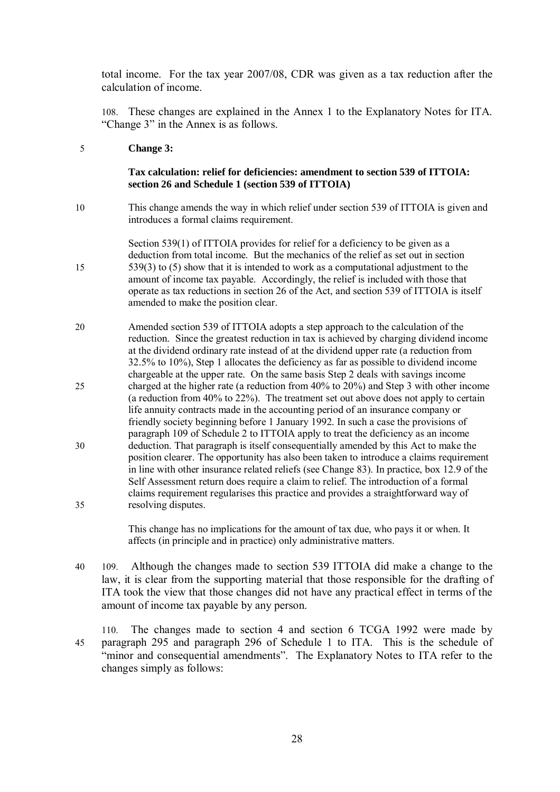total income. For the tax year 2007/08, CDR was given as a tax reduction after the calculation of income.

108. These changes are explained in the Annex 1 to the Explanatory Notes for ITA. "Change 3" in the Annex is as follows.

#### 5 **Change 3:**

#### **Tax calculation: relief for deficiencies: amendment to section 539 of ITTOIA: section 26 and Schedule 1 (section 539 of ITTOIA)**

10 This change amends the way in which relief under section 539 of ITTOIA is given and introduces a formal claims requirement.

Section 539(1) of ITTOIA provides for relief for a deficiency to be given as a deduction from total income. But the mechanics of the relief as set out in section 15 539(3) to (5) show that it is intended to work as a computational adjustment to the amount of income tax payable. Accordingly, the relief is included with those that operate as tax reductions in section 26 of the Act, and section 539 of ITTOIA is itself amended to make the position clear.

20 Amended section 539 of ITTOIA adopts a step approach to the calculation of the reduction. Since the greatest reduction in tax is achieved by charging dividend income at the dividend ordinary rate instead of at the dividend upper rate (a reduction from 32.5% to 10%), Step 1 allocates the deficiency as far as possible to dividend income chargeable at the upper rate. On the same basis Step 2 deals with savings income 25 charged at the higher rate (a reduction from 40% to 20%) and Step 3 with other income (a reduction from 40% to 22%). The treatment set out above does not apply to certain life annuity contracts made in the accounting period of an insurance company or friendly society beginning before 1 January 1992. In such a case the provisions of paragraph 109 of Schedule 2 to ITTOIA apply to treat the deficiency as an income 30 deduction. That paragraph is itself consequentially amended by this Act to make the position clearer. The opportunity has also been taken to introduce a claims requirement in line with other insurance related reliefs (see Change 83). In practice, box 12.9 of the Self Assessment return does require a claim to relief. The introduction of a formal claims requirement regularises this practice and provides a straightforward way of 35 resolving disputes.

> This change has no implications for the amount of tax due, who pays it or when. It affects (in principle and in practice) only administrative matters.

- 40 109. Although the changes made to section 539 ITTOIA did make a change to the law, it is clear from the supporting material that those responsible for the drafting of ITA took the view that those changes did not have any practical effect in terms of the amount of income tax payable by any person.
- 110. The changes made to section 4 and section 6 TCGA 1992 were made by 45 paragraph 295 and paragraph 296 of Schedule 1 to ITA. This is the schedule of "minor and consequential amendments". The Explanatory Notes to ITA refer to the changes simply as follows: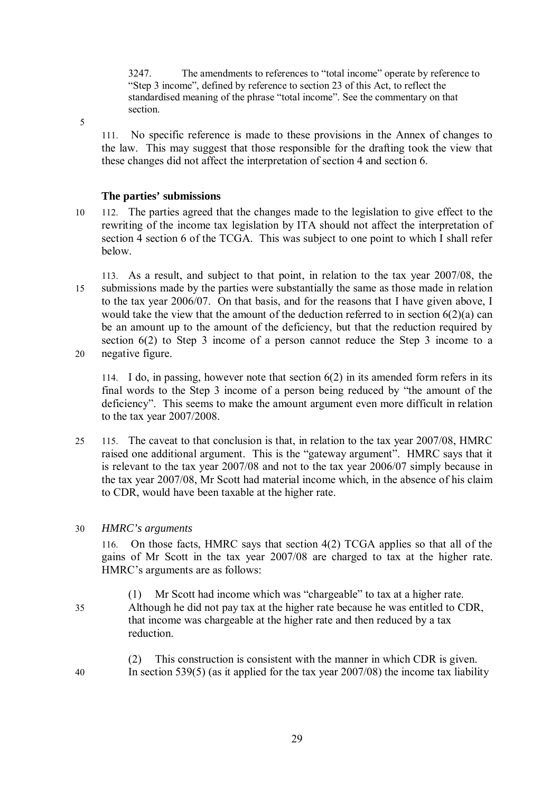3247. The amendments to references to "total income" operate by reference to "Step 3 income", defined by reference to section 23 of this Act, to reflect the standardised meaning of the phrase "total income". See the commentary on that section.

5

111. No specific reference is made to these provisions in the Annex of changes to the law. This may suggest that those responsible for the drafting took the view that these changes did not affect the interpretation of section 4 and section 6.

# **The parties' submissions**

- 10 112. The parties agreed that the changes made to the legislation to give effect to the rewriting of the income tax legislation by ITA should not affect the interpretation of section 4 section 6 of the TCGA. This was subject to one point to which I shall refer below.
- 113. As a result, and subject to that point, in relation to the tax year 2007/08, the 15 submissions made by the parties were substantially the same as those made in relation to the tax year 2006/07. On that basis, and for the reasons that I have given above, I would take the view that the amount of the deduction referred to in section 6(2)(a) can be an amount up to the amount of the deficiency, but that the reduction required by section 6(2) to Step 3 income of a person cannot reduce the Step 3 income to a 20 negative figure.

114. I do, in passing, however note that section 6(2) in its amended form refers in its final words to the Step 3 income of a person being reduced by "the amount of the deficiency". This seems to make the amount argument even more difficult in relation to the tax year 2007/2008.

25 115. The caveat to that conclusion is that, in relation to the tax year 2007/08, HMRC raised one additional argument. This is the "gateway argument". HMRC says that it is relevant to the tax year 2007/08 and not to the tax year 2006/07 simply because in the tax year 2007/08, Mr Scott had material income which, in the absence of his claim to CDR, would have been taxable at the higher rate.

# 30 *HMRC's arguments*

116. On those facts, HMRC says that section 4(2) TCGA applies so that all of the gains of Mr Scott in the tax year 2007/08 are charged to tax at the higher rate. HMRC's arguments are as follows:

- (1) Mr Scott had income which was "chargeable" to tax at a higher rate. 35 Although he did not pay tax at the higher rate because he was entitled to CDR, that income was chargeable at the higher rate and then reduced by a tax reduction.
- (2) This construction is consistent with the manner in which CDR is given. 40 In section 539(5) (as it applied for the tax year 2007/08) the income tax liability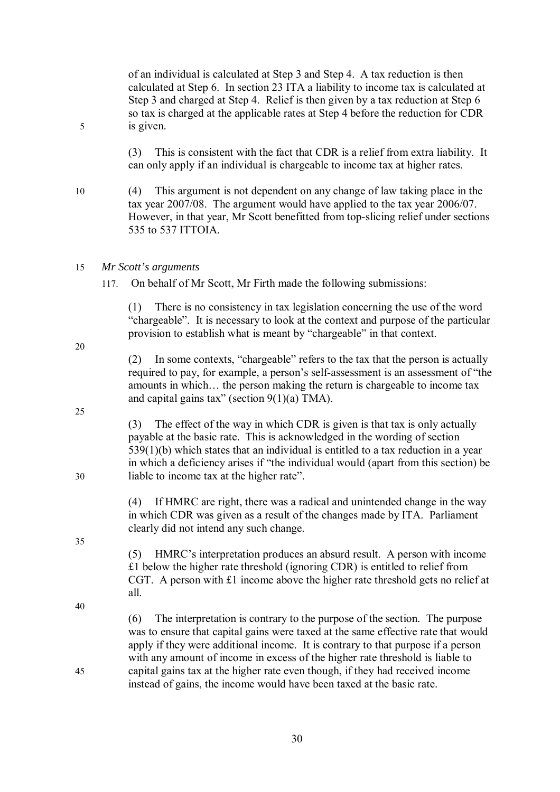of an individual is calculated at Step 3 and Step 4. A tax reduction is then calculated at Step 6. In section 23 ITA a liability to income tax is calculated at Step 3 and charged at Step 4. Relief is then given by a tax reduction at Step 6 so tax is charged at the applicable rates at Step 4 before the reduction for CDR 5 is given.

> (3) This is consistent with the fact that CDR is a relief from extra liability. It can only apply if an individual is chargeable to income tax at higher rates.

10 (4) This argument is not dependent on any change of law taking place in the tax year 2007/08. The argument would have applied to the tax year 2006/07. However, in that year, Mr Scott benefitted from top-slicing relief under sections 535 to 537 ITTOIA.

# 15 *Mr Scott's arguments*

117. On behalf of Mr Scott, Mr Firth made the following submissions:

(1) There is no consistency in tax legislation concerning the use of the word "chargeable". It is necessary to look at the context and purpose of the particular provision to establish what is meant by "chargeable" in that context.

(2) In some contexts, "chargeable" refers to the tax that the person is actually required to pay, for example, a person's self-assessment is an assessment of "the amounts in which… the person making the return is chargeable to income tax and capital gains tax" (section  $9(1)(a)$  TMA).

(3) The effect of the way in which CDR is given is that tax is only actually payable at the basic rate. This is acknowledged in the wording of section 539(1)(b) which states that an individual is entitled to a tax reduction in a year in which a deficiency arises if "the individual would (apart from this section) be 30 liable to income tax at the higher rate".

> (4) If HMRC are right, there was a radical and unintended change in the way in which CDR was given as a result of the changes made by ITA. Parliament clearly did not intend any such change.

> (5) HMRC's interpretation produces an absurd result. A person with income £1 below the higher rate threshold (ignoring CDR) is entitled to relief from CGT. A person with £1 income above the higher rate threshold gets no relief at all.

40

35

20

25

(6) The interpretation is contrary to the purpose of the section. The purpose was to ensure that capital gains were taxed at the same effective rate that would apply if they were additional income. It is contrary to that purpose if a person with any amount of income in excess of the higher rate threshold is liable to 45 capital gains tax at the higher rate even though, if they had received income instead of gains, the income would have been taxed at the basic rate.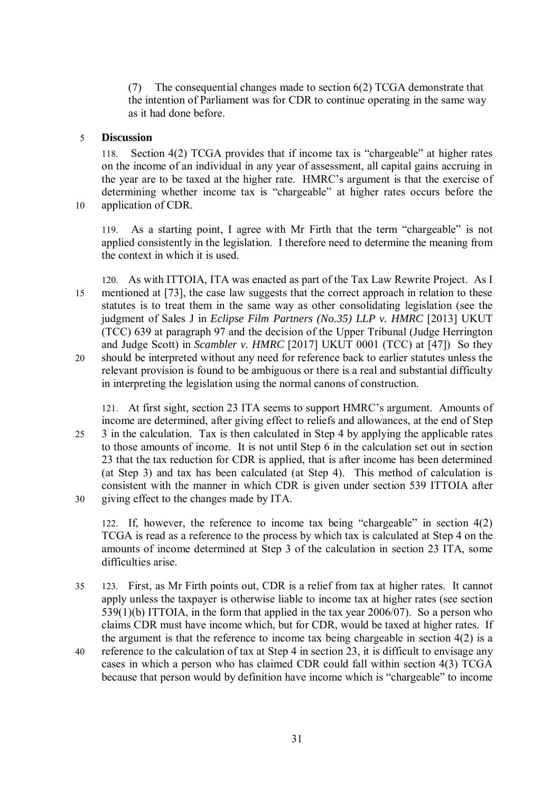(7) The consequential changes made to section 6(2) TCGA demonstrate that the intention of Parliament was for CDR to continue operating in the same way as it had done before.

### 5 **Discussion**

118. Section 4(2) TCGA provides that if income tax is "chargeable" at higher rates on the income of an individual in any year of assessment, all capital gains accruing in the year are to be taxed at the higher rate. HMRC's argument is that the exercise of determining whether income tax is "chargeable" at higher rates occurs before the 10 application of CDR.

119. As a starting point, I agree with Mr Firth that the term "chargeable" is not applied consistently in the legislation. I therefore need to determine the meaning from the context in which it is used.

120. As with ITTOIA, ITA was enacted as part of the Tax Law Rewrite Project. As I 15 mentioned at [73], the case law suggests that the correct approach in relation to these statutes is to treat them in the same way as other consolidating legislation (see the judgment of Sales J in *Eclipse Film Partners (No.35) LLP v. HMRC* [2013] UKUT (TCC) 639 at paragraph 97 and the decision of the Upper Tribunal (Judge Herrington and Judge Scott) in *Scambler v. HMRC* [2017] UKUT 0001 (TCC) at [47]) So they 20 should be interpreted without any need for reference back to earlier statutes unless the relevant provision is found to be ambiguous or there is a real and substantial difficulty in interpreting the legislation using the normal canons of construction.

121. At first sight, section 23 ITA seems to support HMRC's argument. Amounts of income are determined, after giving effect to reliefs and allowances, at the end of Step 25 3 in the calculation. Tax is then calculated in Step 4 by applying the applicable rates to those amounts of income. It is not until Step 6 in the calculation set out in section 23 that the tax reduction for CDR is applied, that is after income has been determined (at Step 3) and tax has been calculated (at Step 4). This method of calculation is consistent with the manner in which CDR is given under section 539 ITTOIA after 30 giving effect to the changes made by ITA.

122. If, however, the reference to income tax being "chargeable" in section 4(2) TCGA is read as a reference to the process by which tax is calculated at Step 4 on the amounts of income determined at Step 3 of the calculation in section 23 ITA, some difficulties arise.

- 35 123. First, as Mr Firth points out, CDR is a relief from tax at higher rates. It cannot apply unless the taxpayer is otherwise liable to income tax at higher rates (see section 539(1)(b) ITTOIA, in the form that applied in the tax year 2006/07). So a person who claims CDR must have income which, but for CDR, would be taxed at higher rates. If the argument is that the reference to income tax being chargeable in section 4(2) is a
- 40 reference to the calculation of tax at Step 4 in section 23, it is difficult to envisage any cases in which a person who has claimed CDR could fall within section 4(3) TCGA because that person would by definition have income which is "chargeable" to income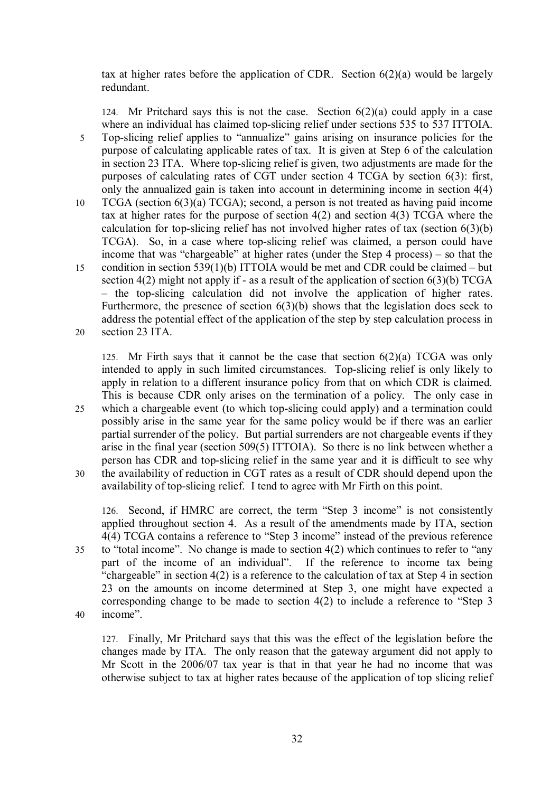tax at higher rates before the application of CDR. Section 6(2)(a) would be largely redundant.

124. Mr Pritchard says this is not the case. Section  $6(2)(a)$  could apply in a case where an individual has claimed top-slicing relief under sections 535 to 537 ITTOIA. 5 Top-slicing relief applies to "annualize" gains arising on insurance policies for the purpose of calculating applicable rates of tax. It is given at Step 6 of the calculation in section 23 ITA. Where top-slicing relief is given, two adjustments are made for the purposes of calculating rates of CGT under section 4 TCGA by section 6(3): first, only the annualized gain is taken into account in determining income in section 4(4) 10 TCGA (section 6(3)(a) TCGA); second, a person is not treated as having paid income tax at higher rates for the purpose of section 4(2) and section 4(3) TCGA where the calculation for top-slicing relief has not involved higher rates of tax (section  $6(3)(b)$ ) TCGA). So, in a case where top-slicing relief was claimed, a person could have income that was "chargeable" at higher rates (under the Step 4 process) – so that the 15 condition in section 539(1)(b) ITTOIA would be met and CDR could be claimed – but section  $4(2)$  might not apply if - as a result of the application of section  $6(3)(b)$  TCGA – the top-slicing calculation did not involve the application of higher rates. Furthermore, the presence of section 6(3)(b) shows that the legislation does seek to address the potential effect of the application of the step by step calculation process in 20 section 23 ITA.

125. Mr Firth says that it cannot be the case that section  $6(2)(a)$  TCGA was only intended to apply in such limited circumstances. Top-slicing relief is only likely to apply in relation to a different insurance policy from that on which CDR is claimed. This is because CDR only arises on the termination of a policy. The only case in

25 which a chargeable event (to which top-slicing could apply) and a termination could possibly arise in the same year for the same policy would be if there was an earlier partial surrender of the policy. But partial surrenders are not chargeable events if they arise in the final year (section 509(5) ITTOIA). So there is no link between whether a person has CDR and top-slicing relief in the same year and it is difficult to see why 30 the availability of reduction in CGT rates as a result of CDR should depend upon the availability of top-slicing relief. I tend to agree with Mr Firth on this point.

126. Second, if HMRC are correct, the term "Step 3 income" is not consistently applied throughout section 4. As a result of the amendments made by ITA, section 4(4) TCGA contains a reference to "Step 3 income" instead of the previous reference 35 to "total income". No change is made to section 4(2) which continues to refer to "any part of the income of an individual". If the reference to income tax being "chargeable" in section  $4(2)$  is a reference to the calculation of tax at Step 4 in section 23 on the amounts on income determined at Step 3, one might have expected a corresponding change to be made to section 4(2) to include a reference to "Step 3

40 income".

127. Finally, Mr Pritchard says that this was the effect of the legislation before the changes made by ITA. The only reason that the gateway argument did not apply to Mr Scott in the 2006/07 tax year is that in that year he had no income that was otherwise subject to tax at higher rates because of the application of top slicing relief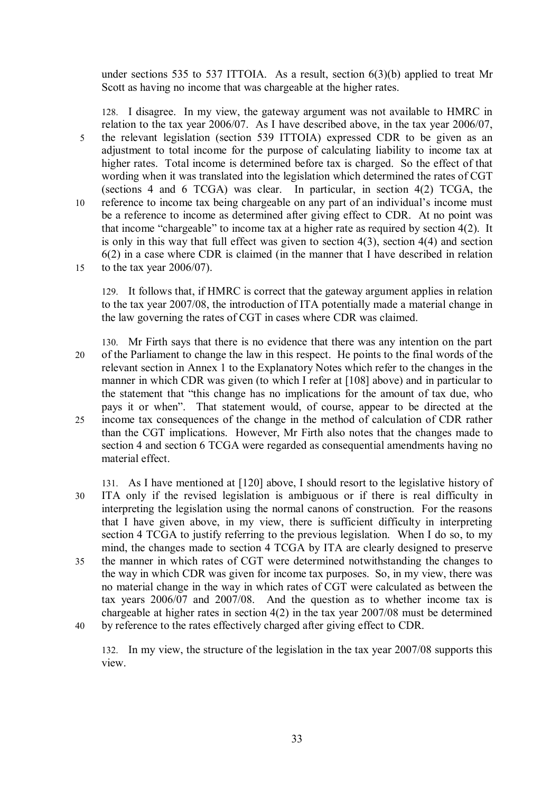under sections 535 to 537 ITTOIA. As a result, section 6(3)(b) applied to treat Mr Scott as having no income that was chargeable at the higher rates.

128. I disagree. In my view, the gateway argument was not available to HMRC in relation to the tax year 2006/07. As I have described above, in the tax year 2006/07, 5 the relevant legislation (section 539 ITTOIA) expressed CDR to be given as an adjustment to total income for the purpose of calculating liability to income tax at higher rates. Total income is determined before tax is charged. So the effect of that wording when it was translated into the legislation which determined the rates of CGT (sections 4 and 6 TCGA) was clear. In particular, in section 4(2) TCGA, the 10 reference to income tax being chargeable on any part of an individual's income must be a reference to income as determined after giving effect to CDR. At no point was that income "chargeable" to income tax at a higher rate as required by section 4(2). It is only in this way that full effect was given to section 4(3), section 4(4) and section 6(2) in a case where CDR is claimed (in the manner that I have described in relation 15 to the tax year 2006/07).

129. It follows that, if HMRC is correct that the gateway argument applies in relation to the tax year 2007/08, the introduction of ITA potentially made a material change in the law governing the rates of CGT in cases where CDR was claimed.

- 130. Mr Firth says that there is no evidence that there was any intention on the part 20 of the Parliament to change the law in this respect. He points to the final words of the relevant section in Annex 1 to the Explanatory Notes which refer to the changes in the manner in which CDR was given (to which I refer at [108] above) and in particular to the statement that "this change has no implications for the amount of tax due, who pays it or when". That statement would, of course, appear to be directed at the 25 income tax consequences of the change in the method of calculation of CDR rather than the CGT implications. However, Mr Firth also notes that the changes made to section 4 and section 6 TCGA were regarded as consequential amendments having no material effect.
- 131. As I have mentioned at [120] above, I should resort to the legislative history of 30 ITA only if the revised legislation is ambiguous or if there is real difficulty in interpreting the legislation using the normal canons of construction. For the reasons that I have given above, in my view, there is sufficient difficulty in interpreting section 4 TCGA to justify referring to the previous legislation. When I do so, to my mind, the changes made to section 4 TCGA by ITA are clearly designed to preserve 35 the manner in which rates of CGT were determined notwithstanding the changes to the way in which CDR was given for income tax purposes. So, in my view, there was no material change in the way in which rates of CGT were calculated as between the tax years 2006/07 and 2007/08. And the question as to whether income tax is chargeable at higher rates in section 4(2) in the tax year 2007/08 must be determined 40 by reference to the rates effectively charged after giving effect to CDR.

132. In my view, the structure of the legislation in the tax year 2007/08 supports this view.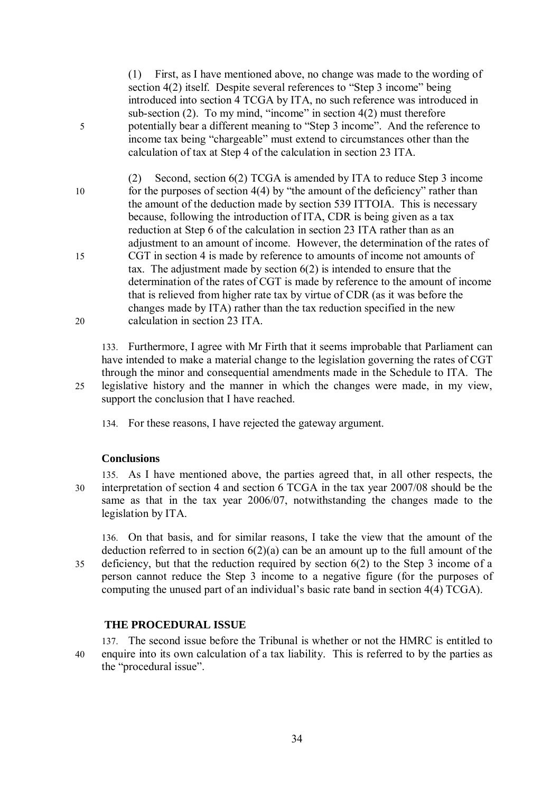(1) First, as I have mentioned above, no change was made to the wording of section 4(2) itself. Despite several references to "Step 3 income" being introduced into section 4 TCGA by ITA, no such reference was introduced in sub-section  $(2)$ . To my mind, "income" in section  $4(2)$  must therefore 5 potentially bear a different meaning to "Step 3 income". And the reference to income tax being "chargeable" must extend to circumstances other than the calculation of tax at Step 4 of the calculation in section 23 ITA.

(2) Second, section 6(2) TCGA is amended by ITA to reduce Step 3 income 10 for the purposes of section 4(4) by "the amount of the deficiency" rather than the amount of the deduction made by section 539 ITTOIA. This is necessary because, following the introduction of ITA, CDR is being given as a tax reduction at Step 6 of the calculation in section 23 ITA rather than as an adjustment to an amount of income. However, the determination of the rates of 15 CGT in section 4 is made by reference to amounts of income not amounts of tax. The adjustment made by section  $6(2)$  is intended to ensure that the determination of the rates of CGT is made by reference to the amount of income that is relieved from higher rate tax by virtue of CDR (as it was before the changes made by ITA) rather than the tax reduction specified in the new 20 calculation in section 23 ITA.

133. Furthermore, I agree with Mr Firth that it seems improbable that Parliament can have intended to make a material change to the legislation governing the rates of CGT through the minor and consequential amendments made in the Schedule to ITA. The 25 legislative history and the manner in which the changes were made, in my view, support the conclusion that I have reached.

134. For these reasons, I have rejected the gateway argument.

# **Conclusions**

135. As I have mentioned above, the parties agreed that, in all other respects, the 30 interpretation of section 4 and section 6 TCGA in the tax year 2007/08 should be the same as that in the tax year 2006/07, notwithstanding the changes made to the legislation by ITA.

136. On that basis, and for similar reasons, I take the view that the amount of the deduction referred to in section 6(2)(a) can be an amount up to the full amount of the 35 deficiency, but that the reduction required by section 6(2) to the Step 3 income of a person cannot reduce the Step 3 income to a negative figure (for the purposes of computing the unused part of an individual's basic rate band in section 4(4) TCGA).

# **THE PROCEDURAL ISSUE**

137. The second issue before the Tribunal is whether or not the HMRC is entitled to 40 enquire into its own calculation of a tax liability. This is referred to by the parties as the "procedural issue".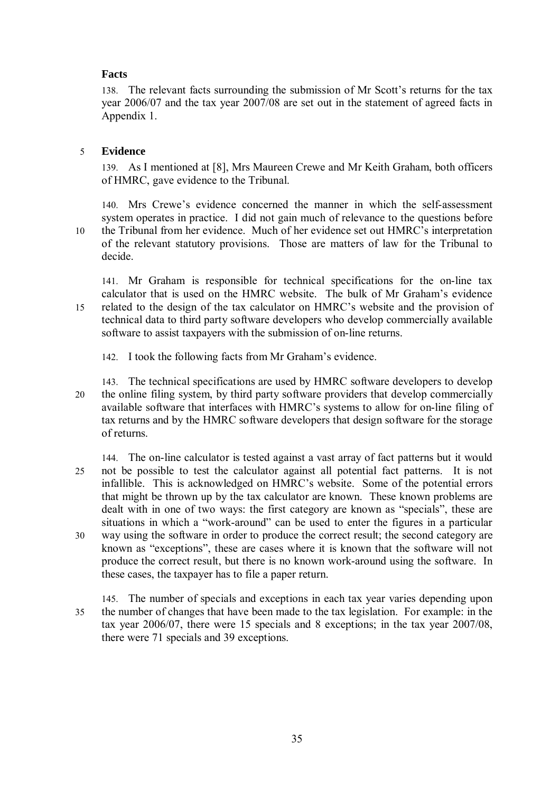# **Facts**

138. The relevant facts surrounding the submission of Mr Scott's returns for the tax year 2006/07 and the tax year 2007/08 are set out in the statement of agreed facts in Appendix 1.

# 5 **Evidence**

139. As I mentioned at [8], Mrs Maureen Crewe and Mr Keith Graham, both officers of HMRC, gave evidence to the Tribunal.

140. Mrs Crewe's evidence concerned the manner in which the self-assessment system operates in practice. I did not gain much of relevance to the questions before 10 the Tribunal from her evidence. Much of her evidence set out HMRC's interpretation of the relevant statutory provisions. Those are matters of law for the Tribunal to decide.

141. Mr Graham is responsible for technical specifications for the on-line tax calculator that is used on the HMRC website. The bulk of Mr Graham's evidence 15 related to the design of the tax calculator on HMRC's website and the provision of technical data to third party software developers who develop commercially available software to assist taxpayers with the submission of on-line returns.

- 142. I took the following facts from Mr Graham's evidence.
- 143. The technical specifications are used by HMRC software developers to develop 20 the online filing system, by third party software providers that develop commercially available software that interfaces with HMRC's systems to allow for on-line filing of tax returns and by the HMRC software developers that design software for the storage of returns.
- 144. The on-line calculator is tested against a vast array of fact patterns but it would 25 not be possible to test the calculator against all potential fact patterns. It is not infallible. This is acknowledged on HMRC's website. Some of the potential errors that might be thrown up by the tax calculator are known. These known problems are dealt with in one of two ways: the first category are known as "specials", these are situations in which a "work-around" can be used to enter the figures in a particular 30 way using the software in order to produce the correct result; the second category are known as "exceptions", these are cases where it is known that the software will not produce the correct result, but there is no known work-around using the software. In these cases, the taxpayer has to file a paper return.
- 145. The number of specials and exceptions in each tax year varies depending upon 35 the number of changes that have been made to the tax legislation. For example: in the tax year 2006/07, there were 15 specials and 8 exceptions; in the tax year 2007/08, there were 71 specials and 39 exceptions.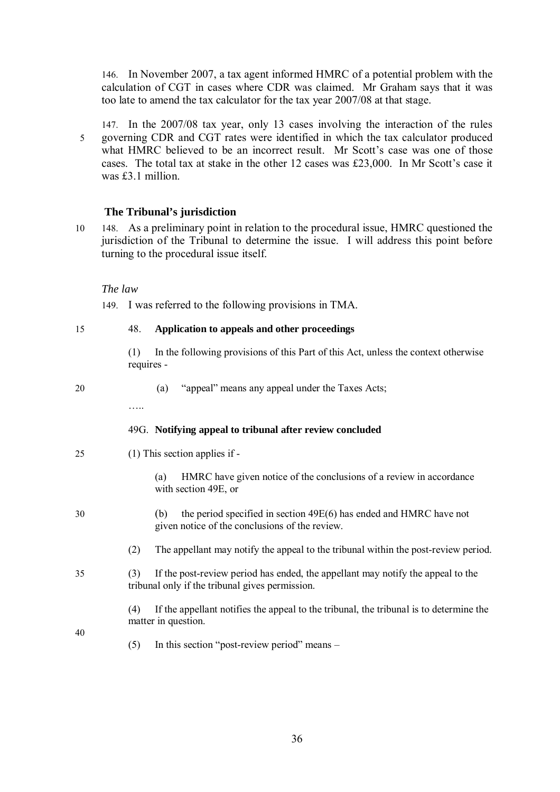146. In November 2007, a tax agent informed HMRC of a potential problem with the calculation of CGT in cases where CDR was claimed. Mr Graham says that it was too late to amend the tax calculator for the tax year 2007/08 at that stage.

147. In the 2007/08 tax year, only 13 cases involving the interaction of the rules 5 governing CDR and CGT rates were identified in which the tax calculator produced what HMRC believed to be an incorrect result. Mr Scott's case was one of those cases. The total tax at stake in the other 12 cases was £23,000. In Mr Scott's case it was £3.1 million.

# **The Tribunal's jurisdiction**

10 148. As a preliminary point in relation to the procedural issue, HMRC questioned the jurisdiction of the Tribunal to determine the issue. I will address this point before turning to the procedural issue itself.

#### *The law*

149. I was referred to the following provisions in TMA.

| 15 | 48.               | Application to appeals and other proceedings                                                                                       |
|----|-------------------|------------------------------------------------------------------------------------------------------------------------------------|
|    | (1)<br>requires - | In the following provisions of this Part of this Act, unless the context otherwise                                                 |
| 20 | .                 | "appeal" means any appeal under the Taxes Acts;<br>(a)                                                                             |
|    |                   | 49G. Notifying appeal to tribunal after review concluded                                                                           |
| 25 |                   | $(1)$ This section applies if -                                                                                                    |
|    |                   | HMRC have given notice of the conclusions of a review in accordance<br>(a)<br>with section 49E, or                                 |
| 30 |                   | the period specified in section 49E(6) has ended and HMRC have not<br>(b)<br>given notice of the conclusions of the review.        |
|    | (2)               | The appellant may notify the appeal to the tribunal within the post-review period.                                                 |
| 35 | (3)               | If the post-review period has ended, the appellant may notify the appeal to the<br>tribunal only if the tribunal gives permission. |
|    | (4)               | If the appellant notifies the appeal to the tribunal, the tribunal is to determine the<br>matter in question.                      |
| 40 | (5)               | In this section "post-review period" means –                                                                                       |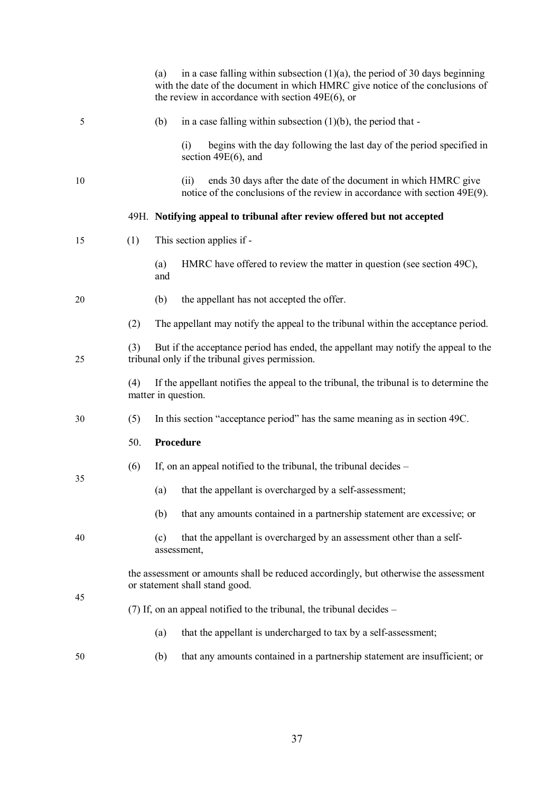|    |                                                                                                                      | in a case falling within subsection $(1)(a)$ , the period of 30 days beginning<br>(a)<br>with the date of the document in which HMRC give notice of the conclusions of<br>the review in accordance with section $49E(6)$ , or |  |  |  |  |  |
|----|----------------------------------------------------------------------------------------------------------------------|-------------------------------------------------------------------------------------------------------------------------------------------------------------------------------------------------------------------------------|--|--|--|--|--|
| 5  |                                                                                                                      | (b)<br>in a case falling within subsection $(1)(b)$ , the period that -                                                                                                                                                       |  |  |  |  |  |
|    |                                                                                                                      | begins with the day following the last day of the period specified in<br>(i)<br>section $49E(6)$ , and                                                                                                                        |  |  |  |  |  |
| 10 |                                                                                                                      | ends 30 days after the date of the document in which HMRC give<br>(ii)<br>notice of the conclusions of the review in accordance with section 49E(9).                                                                          |  |  |  |  |  |
|    |                                                                                                                      | 49H. Notifying appeal to tribunal after review offered but not accepted                                                                                                                                                       |  |  |  |  |  |
| 15 | (1)                                                                                                                  | This section applies if -                                                                                                                                                                                                     |  |  |  |  |  |
|    |                                                                                                                      | HMRC have offered to review the matter in question (see section 49C),<br>(a)<br>and                                                                                                                                           |  |  |  |  |  |
| 20 |                                                                                                                      | the appellant has not accepted the offer.<br>(b)                                                                                                                                                                              |  |  |  |  |  |
|    | (2)                                                                                                                  | The appellant may notify the appeal to the tribunal within the acceptance period.                                                                                                                                             |  |  |  |  |  |
| 25 | (3)                                                                                                                  | But if the acceptance period has ended, the appellant may notify the appeal to the<br>tribunal only if the tribunal gives permission.                                                                                         |  |  |  |  |  |
|    | (4)<br>If the appellant notifies the appeal to the tribunal, the tribunal is to determine the<br>matter in question. |                                                                                                                                                                                                                               |  |  |  |  |  |
| 30 | (5)                                                                                                                  | In this section "acceptance period" has the same meaning as in section 49C.                                                                                                                                                   |  |  |  |  |  |
|    | Procedure<br>50.                                                                                                     |                                                                                                                                                                                                                               |  |  |  |  |  |
|    | (6)                                                                                                                  | If, on an appeal notified to the tribunal, the tribunal decides –                                                                                                                                                             |  |  |  |  |  |
| 35 |                                                                                                                      | that the appellant is overcharged by a self-assessment;<br>(a)                                                                                                                                                                |  |  |  |  |  |
|    |                                                                                                                      | (b)<br>that any amounts contained in a partnership statement are excessive; or                                                                                                                                                |  |  |  |  |  |
| 40 |                                                                                                                      | that the appellant is overcharged by an assessment other than a self-<br>(c)<br>assessment,                                                                                                                                   |  |  |  |  |  |
|    |                                                                                                                      | the assessment or amounts shall be reduced accordingly, but otherwise the assessment<br>or statement shall stand good.                                                                                                        |  |  |  |  |  |
| 45 |                                                                                                                      | (7) If, on an appeal notified to the tribunal, the tribunal decides -                                                                                                                                                         |  |  |  |  |  |
|    |                                                                                                                      | that the appellant is undercharged to tax by a self-assessment;<br>(a)                                                                                                                                                        |  |  |  |  |  |
| 50 |                                                                                                                      | that any amounts contained in a partnership statement are insufficient; or<br>(b)                                                                                                                                             |  |  |  |  |  |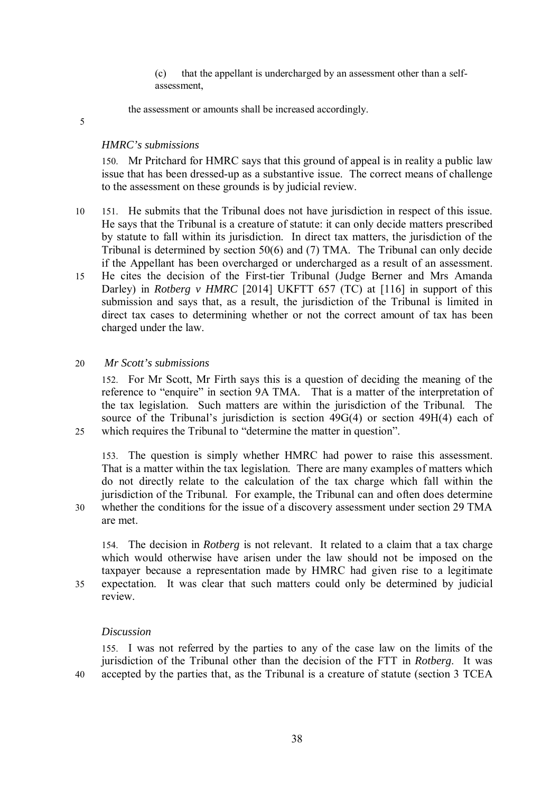(c) that the appellant is undercharged by an assessment other than a selfassessment,

the assessment or amounts shall be increased accordingly.

5

# *HMRC's submissions*

150. Mr Pritchard for HMRC says that this ground of appeal is in reality a public law issue that has been dressed-up as a substantive issue. The correct means of challenge to the assessment on these grounds is by judicial review.

- 10 151. He submits that the Tribunal does not have jurisdiction in respect of this issue. He says that the Tribunal is a creature of statute: it can only decide matters prescribed by statute to fall within its jurisdiction. In direct tax matters, the jurisdiction of the Tribunal is determined by section 50(6) and (7) TMA. The Tribunal can only decide if the Appellant has been overcharged or undercharged as a result of an assessment.
- 15 He cites the decision of the First-tier Tribunal (Judge Berner and Mrs Amanda Darley) in *Rotberg v HMRC* [2014] UKFTT 657 (TC) at [116] in support of this submission and says that, as a result, the jurisdiction of the Tribunal is limited in direct tax cases to determining whether or not the correct amount of tax has been charged under the law.

# 20 *Mr Scott's submissions*

152. For Mr Scott, Mr Firth says this is a question of deciding the meaning of the reference to "enquire" in section 9A TMA. That is a matter of the interpretation of the tax legislation. Such matters are within the jurisdiction of the Tribunal. The source of the Tribunal's jurisdiction is section 49G(4) or section 49H(4) each of 25 which requires the Tribunal to "determine the matter in question".

153. The question is simply whether HMRC had power to raise this assessment. That is a matter within the tax legislation. There are many examples of matters which do not directly relate to the calculation of the tax charge which fall within the jurisdiction of the Tribunal. For example, the Tribunal can and often does determine 30 whether the conditions for the issue of a discovery assessment under section 29 TMA

are met.

154. The decision in *Rotberg* is not relevant. It related to a claim that a tax charge which would otherwise have arisen under the law should not be imposed on the taxpayer because a representation made by HMRC had given rise to a legitimate 35 expectation. It was clear that such matters could only be determined by judicial review.

#### *Discussion*

155. I was not referred by the parties to any of the case law on the limits of the jurisdiction of the Tribunal other than the decision of the FTT in *Rotberg*. It was 40 accepted by the parties that, as the Tribunal is a creature of statute (section 3 TCEA

38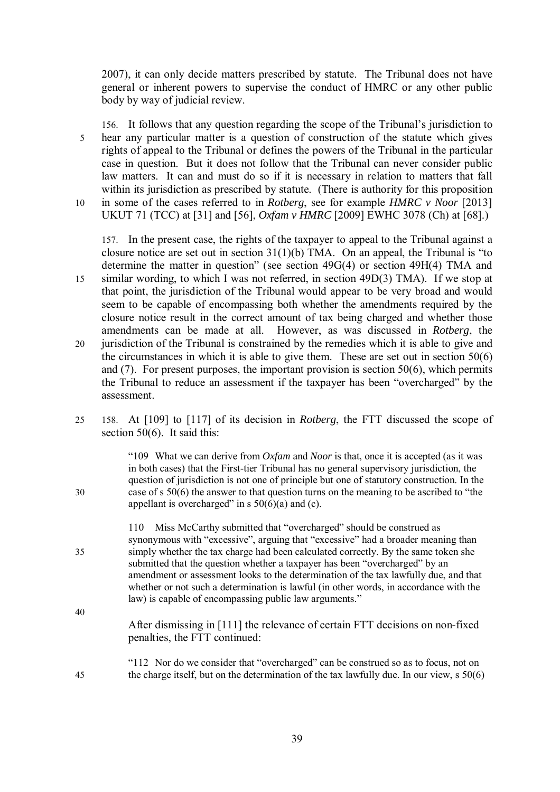2007), it can only decide matters prescribed by statute. The Tribunal does not have general or inherent powers to supervise the conduct of HMRC or any other public body by way of judicial review.

156. It follows that any question regarding the scope of the Tribunal's jurisdiction to 5 hear any particular matter is a question of construction of the statute which gives rights of appeal to the Tribunal or defines the powers of the Tribunal in the particular case in question. But it does not follow that the Tribunal can never consider public law matters. It can and must do so if it is necessary in relation to matters that fall within its jurisdiction as prescribed by statute. (There is authority for this proposition 10 in some of the cases referred to in *Rotberg*, see for example *HMRC v Noor* [2013] UKUT 71 (TCC) at [31] and [56], *Oxfam v HMRC* [2009] EWHC 3078 (Ch) at [68].)

157. In the present case, the rights of the taxpayer to appeal to the Tribunal against a closure notice are set out in section 31(1)(b) TMA. On an appeal, the Tribunal is "to determine the matter in question" (see section 49G(4) or section 49H(4) TMA and 15 similar wording, to which I was not referred, in section 49D(3) TMA). If we stop at that point, the jurisdiction of the Tribunal would appear to be very broad and would seem to be capable of encompassing both whether the amendments required by the closure notice result in the correct amount of tax being charged and whether those amendments can be made at all. However, as was discussed in *Rotberg*, the 20 jurisdiction of the Tribunal is constrained by the remedies which it is able to give and the circumstances in which it is able to give them. These are set out in section 50(6) and (7). For present purposes, the important provision is section 50(6), which permits the Tribunal to reduce an assessment if the taxpayer has been "overcharged" by the assessment.

25 158. At [109] to [117] of its decision in *Rotberg*, the FTT discussed the scope of section 50(6). It said this:

"109 What we can derive from *Oxfam* and *Noor* is that, once it is accepted (as it was in both cases) that the First-tier Tribunal has no general supervisory jurisdiction, the question of jurisdiction is not one of principle but one of statutory construction. In the 30 case of s 50(6) the answer to that question turns on the meaning to be ascribed to "the appellant is overcharged" in s  $50(6)(a)$  and (c).

110 Miss McCarthy submitted that "overcharged" should be construed as synonymous with "excessive", arguing that "excessive" had a broader meaning than 35 simply whether the tax charge had been calculated correctly. By the same token she submitted that the question whether a taxpayer has been "overcharged" by an amendment or assessment looks to the determination of the tax lawfully due, and that whether or not such a determination is lawful (in other words, in accordance with the law) is capable of encompassing public law arguments."

- After dismissing in [111] the relevance of certain FTT decisions on non-fixed penalties, the FTT continued:
- "112 Nor do we consider that "overcharged" can be construed so as to focus, not on 45 the charge itself, but on the determination of the tax lawfully due. In our view, s 50(6)

40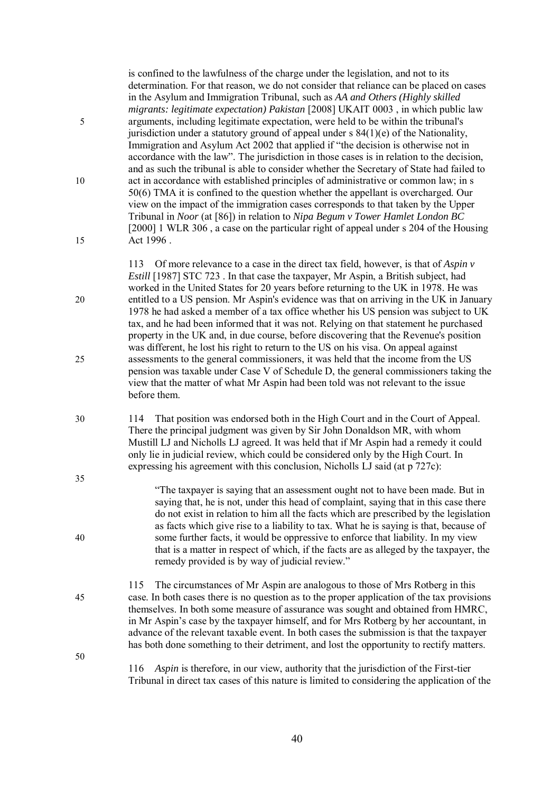| 5        | is confined to the lawfulness of the charge under the legislation, and not to its<br>determination. For that reason, we do not consider that reliance can be placed on cases<br>in the Asylum and Immigration Tribunal, such as AA and Others (Highly skilled<br><i>migrants: legitimate expectation) Pakistan</i> [2008] UKAIT 0003, in which public law<br>arguments, including legitimate expectation, were held to be within the tribunal's<br>jurisdiction under a statutory ground of appeal under $s$ 84(1)(e) of the Nationality,<br>Immigration and Asylum Act 2002 that applied if "the decision is otherwise not in<br>accordance with the law". The jurisdiction in those cases is in relation to the decision, |
|----------|-----------------------------------------------------------------------------------------------------------------------------------------------------------------------------------------------------------------------------------------------------------------------------------------------------------------------------------------------------------------------------------------------------------------------------------------------------------------------------------------------------------------------------------------------------------------------------------------------------------------------------------------------------------------------------------------------------------------------------|
| 10<br>15 | and as such the tribunal is able to consider whether the Secretary of State had failed to<br>act in accordance with established principles of administrative or common law; in s<br>50(6) TMA it is confined to the question whether the appellant is overcharged. Our<br>view on the impact of the immigration cases corresponds to that taken by the Upper<br>Tribunal in Noor (at [86]) in relation to Nipa Begum v Tower Hamlet London BC<br>[2000] 1 WLR 306, a case on the particular right of appeal under s 204 of the Housing<br>Act 1996.                                                                                                                                                                         |
| 20       | 113 Of more relevance to a case in the direct tax field, however, is that of Aspin v<br><i>Estill</i> [1987] STC 723. In that case the taxpayer, Mr Aspin, a British subject, had<br>worked in the United States for 20 years before returning to the UK in 1978. He was<br>entitled to a US pension. Mr Aspin's evidence was that on arriving in the UK in January<br>1978 he had asked a member of a tax office whether his US pension was subject to UK                                                                                                                                                                                                                                                                  |
| 25       | tax, and he had been informed that it was not. Relying on that statement he purchased<br>property in the UK and, in due course, before discovering that the Revenue's position<br>was different, he lost his right to return to the US on his visa. On appeal against<br>assessments to the general commissioners, it was held that the income from the US                                                                                                                                                                                                                                                                                                                                                                  |
|          | pension was taxable under Case V of Schedule D, the general commissioners taking the<br>view that the matter of what Mr Aspin had been told was not relevant to the issue<br>before them.                                                                                                                                                                                                                                                                                                                                                                                                                                                                                                                                   |
| 30       | That position was endorsed both in the High Court and in the Court of Appeal.<br>114<br>There the principal judgment was given by Sir John Donaldson MR, with whom<br>Mustill LJ and Nicholls LJ agreed. It was held that if Mr Aspin had a remedy it could<br>only lie in judicial review, which could be considered only by the High Court. In<br>expressing his agreement with this conclusion, Nicholls LJ said (at p 727c):                                                                                                                                                                                                                                                                                            |
| 35       | "The taxpayer is saying that an assessment ought not to have been made. But in<br>saying that, he is not, under this head of complaint, saying that in this case there<br>do not exist in relation to him all the facts which are prescribed by the legislation                                                                                                                                                                                                                                                                                                                                                                                                                                                             |
| 40       | as facts which give rise to a liability to tax. What he is saying is that, because of<br>some further facts, it would be oppressive to enforce that liability. In my view<br>that is a matter in respect of which, if the facts are as alleged by the taxpayer, the<br>remedy provided is by way of judicial review."                                                                                                                                                                                                                                                                                                                                                                                                       |
| 45       | The circumstances of Mr Aspin are analogous to those of Mrs Rotberg in this<br>115<br>case. In both cases there is no question as to the proper application of the tax provisions<br>themselves. In both some measure of assurance was sought and obtained from HMRC,<br>in Mr Aspin's case by the taxpayer himself, and for Mrs Rotberg by her accountant, in<br>advance of the relevant taxable event. In both cases the submission is that the taxpayer<br>has both done something to their detriment, and lost the opportunity to rectify matters.                                                                                                                                                                      |
| 50       | Aspin is therefore, in our view, authority that the jurisdiction of the First-tier<br>116<br>Tribunal in direct tax cases of this nature is limited to considering the application of the                                                                                                                                                                                                                                                                                                                                                                                                                                                                                                                                   |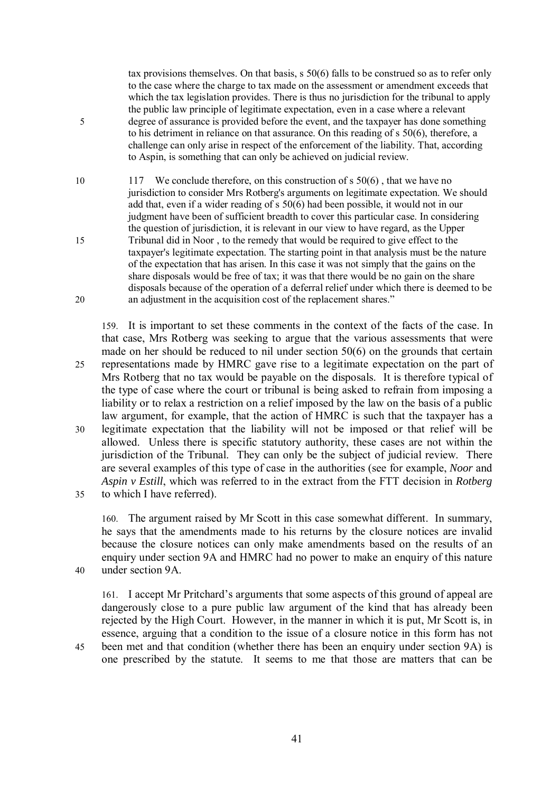tax provisions themselves. On that basis, s 50(6) falls to be construed so as to refer only to the case where the charge to tax made on the assessment or amendment exceeds that which the tax legislation provides. There is thus no jurisdiction for the tribunal to apply the public law principle of legitimate expectation, even in a case where a relevant 5 degree of assurance is provided before the event, and the taxpayer has done something to his detriment in reliance on that assurance. On this reading of s 50(6), therefore, a challenge can only arise in respect of the enforcement of the liability. That, according to Aspin, is something that can only be achieved on judicial review.

10 117 We conclude therefore, on this construction of s 50(6), that we have no jurisdiction to consider Mrs Rotberg's arguments on legitimate expectation. We should add that, even if a wider reading of s 50(6) had been possible, it would not in our judgment have been of sufficient breadth to cover this particular case. In considering the question of jurisdiction, it is relevant in our view to have regard, as the Upper 15 Tribunal did in Noor , to the remedy that would be required to give effect to the taxpayer's legitimate expectation. The starting point in that analysis must be the nature of the expectation that has arisen. In this case it was not simply that the gains on the share disposals would be free of tax; it was that there would be no gain on the share disposals because of the operation of a deferral relief under which there is deemed to be 20 an adjustment in the acquisition cost of the replacement shares."

159. It is important to set these comments in the context of the facts of the case. In that case, Mrs Rotberg was seeking to argue that the various assessments that were made on her should be reduced to nil under section 50(6) on the grounds that certain 25 representations made by HMRC gave rise to a legitimate expectation on the part of Mrs Rotberg that no tax would be payable on the disposals. It is therefore typical of the type of case where the court or tribunal is being asked to refrain from imposing a liability or to relax a restriction on a relief imposed by the law on the basis of a public law argument, for example, that the action of HMRC is such that the taxpayer has a 30 legitimate expectation that the liability will not be imposed or that relief will be allowed. Unless there is specific statutory authority, these cases are not within the jurisdiction of the Tribunal. They can only be the subject of judicial review. There are several examples of this type of case in the authorities (see for example, *Noor* and *Aspin v Estill*, which was referred to in the extract from the FTT decision in *Rotberg* 35 to which I have referred).

160. The argument raised by Mr Scott in this case somewhat different. In summary, he says that the amendments made to his returns by the closure notices are invalid because the closure notices can only make amendments based on the results of an enquiry under section 9A and HMRC had no power to make an enquiry of this nature 40 under section 9A.

161. I accept Mr Pritchard's arguments that some aspects of this ground of appeal are dangerously close to a pure public law argument of the kind that has already been rejected by the High Court. However, in the manner in which it is put, Mr Scott is, in essence, arguing that a condition to the issue of a closure notice in this form has not 45 been met and that condition (whether there has been an enquiry under section 9A) is one prescribed by the statute. It seems to me that those are matters that can be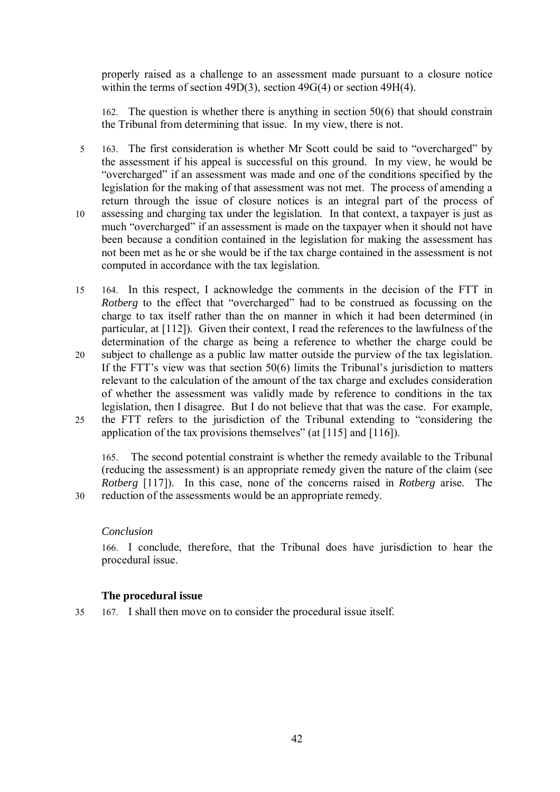properly raised as a challenge to an assessment made pursuant to a closure notice within the terms of section 49D(3), section 49G(4) or section 49H(4).

162. The question is whether there is anything in section 50(6) that should constrain the Tribunal from determining that issue. In my view, there is not.

- 5 163. The first consideration is whether Mr Scott could be said to "overcharged" by the assessment if his appeal is successful on this ground. In my view, he would be "overcharged" if an assessment was made and one of the conditions specified by the legislation for the making of that assessment was not met. The process of amending a return through the issue of closure notices is an integral part of the process of 10 assessing and charging tax under the legislation. In that context, a taxpayer is just as much "overcharged" if an assessment is made on the taxpayer when it should not have been because a condition contained in the legislation for making the assessment has not been met as he or she would be if the tax charge contained in the assessment is not computed in accordance with the tax legislation.
- 15 164. In this respect, I acknowledge the comments in the decision of the FTT in *Rotberg* to the effect that "overcharged" had to be construed as focussing on the charge to tax itself rather than the on manner in which it had been determined (in particular, at [112]). Given their context, I read the references to the lawfulness of the determination of the charge as being a reference to whether the charge could be
- 20 subject to challenge as a public law matter outside the purview of the tax legislation. If the FTT's view was that section 50(6) limits the Tribunal's jurisdiction to matters relevant to the calculation of the amount of the tax charge and excludes consideration of whether the assessment was validly made by reference to conditions in the tax legislation, then I disagree. But I do not believe that that was the case. For example, 25 the FTT refers to the jurisdiction of the Tribunal extending to "considering the
- application of the tax provisions themselves" (at [115] and [116]).

165. The second potential constraint is whether the remedy available to the Tribunal (reducing the assessment) is an appropriate remedy given the nature of the claim (see *Rotberg* [117]). In this case, none of the concerns raised in *Rotberg* arise. The 30 reduction of the assessments would be an appropriate remedy.

# *Conclusion*

166. I conclude, therefore, that the Tribunal does have jurisdiction to hear the procedural issue.

# **The procedural issue**

35 167. I shall then move on to consider the procedural issue itself.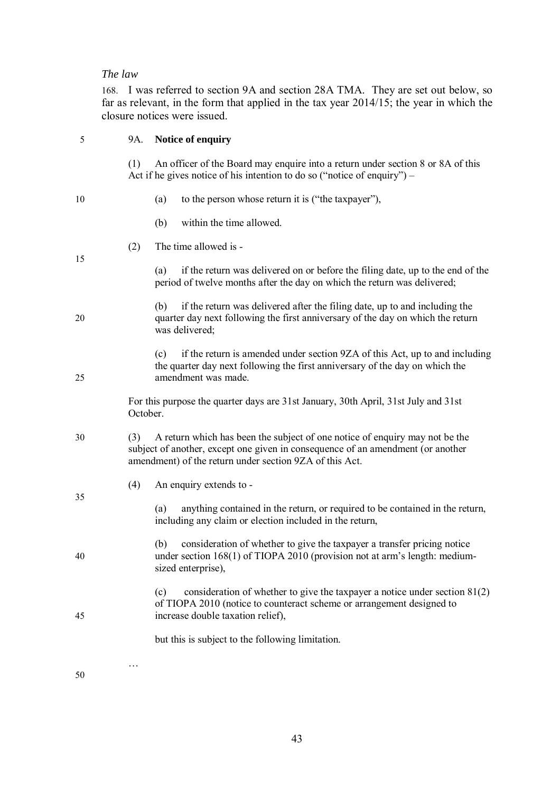# *The law*

168. I was referred to section 9A and section 28A TMA. They are set out below, so far as relevant, in the form that applied in the tax year 2014/15; the year in which the

|    |          | closure notices were issued.                                                                                                                                                                                              |
|----|----------|---------------------------------------------------------------------------------------------------------------------------------------------------------------------------------------------------------------------------|
| 5  | 9A.      | Notice of enquiry                                                                                                                                                                                                         |
|    | (1)      | An officer of the Board may enquire into a return under section 8 or 8A of this<br>Act if he gives notice of his intention to do so ("notice of enquiry") $-$                                                             |
| 10 |          | to the person whose return it is ("the taxpayer"),<br>(a)                                                                                                                                                                 |
|    |          | within the time allowed.<br>(b)                                                                                                                                                                                           |
|    | (2)      | The time allowed is -                                                                                                                                                                                                     |
| 15 |          | if the return was delivered on or before the filing date, up to the end of the<br>(a)<br>period of twelve months after the day on which the return was delivered;                                                         |
| 20 |          | if the return was delivered after the filing date, up to and including the<br>(b)<br>quarter day next following the first anniversary of the day on which the return<br>was delivered;                                    |
| 25 |          | if the return is amended under section 9ZA of this Act, up to and including<br>(c)<br>the quarter day next following the first anniversary of the day on which the<br>amendment was made.                                 |
|    | October. | For this purpose the quarter days are 31st January, 30th April, 31st July and 31st                                                                                                                                        |
| 30 | (3)      | A return which has been the subject of one notice of enquiry may not be the<br>subject of another, except one given in consequence of an amendment (or another<br>amendment) of the return under section 9ZA of this Act. |
|    | (4)      | An enquiry extends to -                                                                                                                                                                                                   |
| 35 |          | anything contained in the return, or required to be contained in the return,<br>(a)<br>including any claim or election included in the return,                                                                            |
| 40 |          | consideration of whether to give the taxpayer a transfer pricing notice<br>(b)<br>under section 168(1) of TIOPA 2010 (provision not at arm's length: medium-<br>sized enterprise),                                        |
| 45 |          | consideration of whether to give the taxpayer a notice under section $81(2)$<br>(c)<br>of TIOPA 2010 (notice to counteract scheme or arrangement designed to<br>increase double taxation relief),                         |
|    |          | but this is subject to the following limitation.                                                                                                                                                                          |
|    |          |                                                                                                                                                                                                                           |

50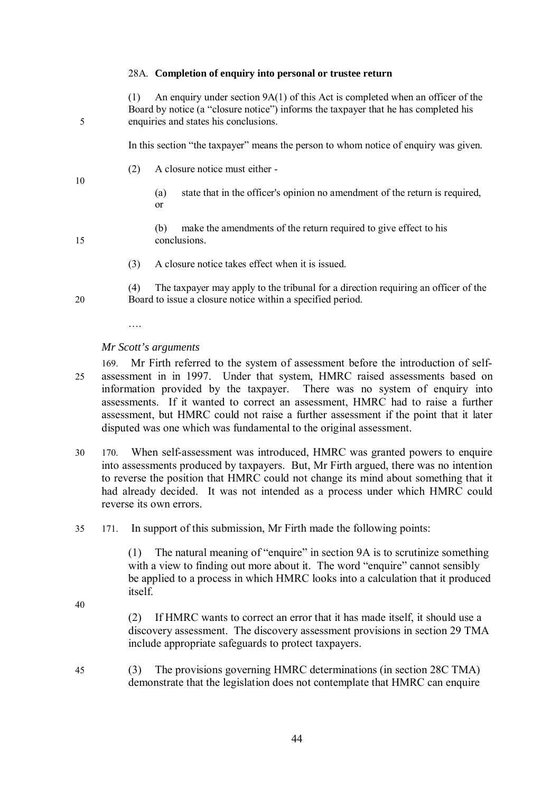#### 28A. **Completion of enquiry into personal or trustee return**

(1) An enquiry under section 9A(1) of this Act is completed when an officer of the Board by notice (a "closure notice") informs the taxpayer that he has completed his 5 enquiries and states his conclusions.

In this section "the taxpayer" means the person to whom notice of enquiry was given.

(2) A closure notice must either -

10

- (a) state that in the officer's opinion no amendment of the return is required, or
- 
- (b) make the amendments of the return required to give effect to his 15 conclusions.
	- (3) A closure notice takes effect when it is issued.

(4) The taxpayer may apply to the tribunal for a direction requiring an officer of the 20 Board to issue a closure notice within a specified period.

….

*Mr Scott's arguments*

- 169. Mr Firth referred to the system of assessment before the introduction of self-25 assessment in in 1997. Under that system, HMRC raised assessments based on information provided by the taxpayer. There was no system of enquiry into assessments. If it wanted to correct an assessment, HMRC had to raise a further assessment, but HMRC could not raise a further assessment if the point that it later disputed was one which was fundamental to the original assessment.
- 30 170. When self-assessment was introduced, HMRC was granted powers to enquire into assessments produced by taxpayers. But, Mr Firth argued, there was no intention to reverse the position that HMRC could not change its mind about something that it had already decided. It was not intended as a process under which HMRC could reverse its own errors.
- 35 171. In support of this submission, Mr Firth made the following points:

(1) The natural meaning of "enquire" in section 9A is to scrutinize something with a view to finding out more about it. The word "enquire" cannot sensibly be applied to a process in which HMRC looks into a calculation that it produced itself.

40

(2) If HMRC wants to correct an error that it has made itself, it should use a discovery assessment. The discovery assessment provisions in section 29 TMA include appropriate safeguards to protect taxpayers.

45 (3) The provisions governing HMRC determinations (in section 28C TMA) demonstrate that the legislation does not contemplate that HMRC can enquire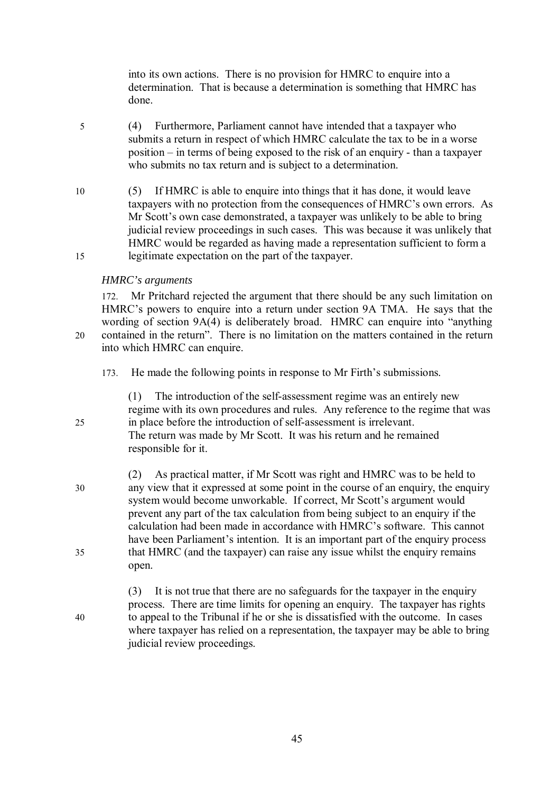into its own actions. There is no provision for HMRC to enquire into a determination. That is because a determination is something that HMRC has done.

- 5 (4) Furthermore, Parliament cannot have intended that a taxpayer who submits a return in respect of which HMRC calculate the tax to be in a worse position – in terms of being exposed to the risk of an enquiry - than a taxpayer who submits no tax return and is subject to a determination.
- 10 (5) If HMRC is able to enquire into things that it has done, it would leave taxpayers with no protection from the consequences of HMRC's own errors. As Mr Scott's own case demonstrated, a taxpayer was unlikely to be able to bring judicial review proceedings in such cases. This was because it was unlikely that HMRC would be regarded as having made a representation sufficient to form a 15 legitimate expectation on the part of the taxpayer.

### *HMRC's arguments*

172. Mr Pritchard rejected the argument that there should be any such limitation on HMRC's powers to enquire into a return under section 9A TMA. He says that the wording of section 9A(4) is deliberately broad. HMRC can enquire into "anything 20 contained in the return". There is no limitation on the matters contained in the return into which HMRC can enquire.

173. He made the following points in response to Mr Firth's submissions.

(1) The introduction of the self-assessment regime was an entirely new

regime with its own procedures and rules. Any reference to the regime that was 25 in place before the introduction of self-assessment is irrelevant. The return was made by Mr Scott. It was his return and he remained

responsible for it.

- (2) As practical matter, if Mr Scott was right and HMRC was to be held to 30 any view that it expressed at some point in the course of an enquiry, the enquiry system would become unworkable. If correct, Mr Scott's argument would prevent any part of the tax calculation from being subject to an enquiry if the calculation had been made in accordance with HMRC's software. This cannot have been Parliament's intention. It is an important part of the enquiry process 35 that HMRC (and the taxpayer) can raise any issue whilst the enquiry remains open.
- (3) It is not true that there are no safeguards for the taxpayer in the enquiry process. There are time limits for opening an enquiry. The taxpayer has rights 40 to appeal to the Tribunal if he or she is dissatisfied with the outcome. In cases where taxpayer has relied on a representation, the taxpayer may be able to bring judicial review proceedings.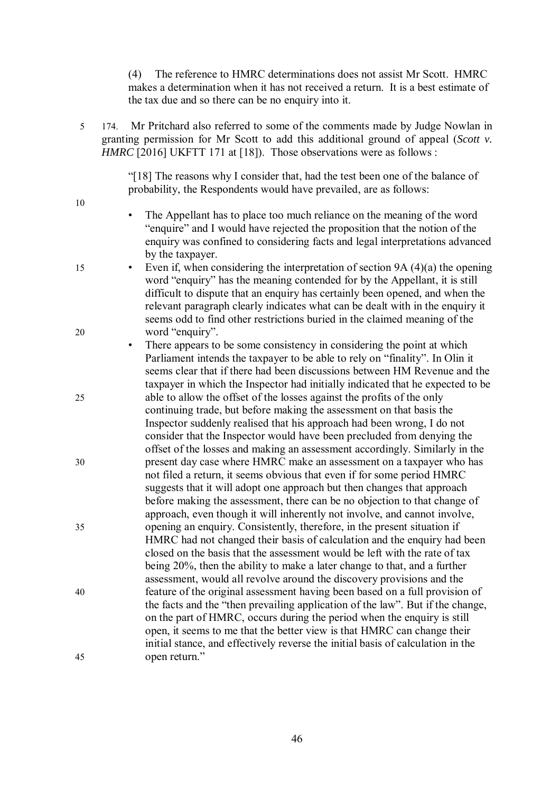(4) The reference to HMRC determinations does not assist Mr Scott. HMRC makes a determination when it has not received a return. It is a best estimate of the tax due and so there can be no enquiry into it.

5 174. Mr Pritchard also referred to some of the comments made by Judge Nowlan in granting permission for Mr Scott to add this additional ground of appeal (*Scott v. HMRC* [2016] UKFTT 171 at [18]). Those observations were as follows :

> "[18] The reasons why I consider that, had the test been one of the balance of probability, the Respondents would have prevailed, are as follows:

- 10
- The Appellant has to place too much reliance on the meaning of the word "enquire" and I would have rejected the proposition that the notion of the enquiry was confined to considering facts and legal interpretations advanced by the taxpayer.
- 15 Even if, when considering the interpretation of section 9A (4)(a) the opening word "enquiry" has the meaning contended for by the Appellant, it is still difficult to dispute that an enquiry has certainly been opened, and when the relevant paragraph clearly indicates what can be dealt with in the enquiry it seems odd to find other restrictions buried in the claimed meaning of the 20 word "enquiry".
- There appears to be some consistency in considering the point at which Parliament intends the taxpayer to be able to rely on "finality". In Olin it seems clear that if there had been discussions between HM Revenue and the taxpayer in which the Inspector had initially indicated that he expected to be 25 able to allow the offset of the losses against the profits of the only continuing trade, but before making the assessment on that basis the Inspector suddenly realised that his approach had been wrong, I do not consider that the Inspector would have been precluded from denying the offset of the losses and making an assessment accordingly. Similarly in the 30 present day case where HMRC make an assessment on a taxpayer who has not filed a return, it seems obvious that even if for some period HMRC suggests that it will adopt one approach but then changes that approach before making the assessment, there can be no objection to that change of approach, even though it will inherently not involve, and cannot involve, 35 opening an enquiry. Consistently, therefore, in the present situation if HMRC had not changed their basis of calculation and the enquiry had been closed on the basis that the assessment would be left with the rate of tax being 20%, then the ability to make a later change to that, and a further assessment, would all revolve around the discovery provisions and the 40 feature of the original assessment having been based on a full provision of the facts and the "then prevailing application of the law". But if the change, on the part of HMRC, occurs during the period when the enquiry is still open, it seems to me that the better view is that HMRC can change their initial stance, and effectively reverse the initial basis of calculation in the 45 open return."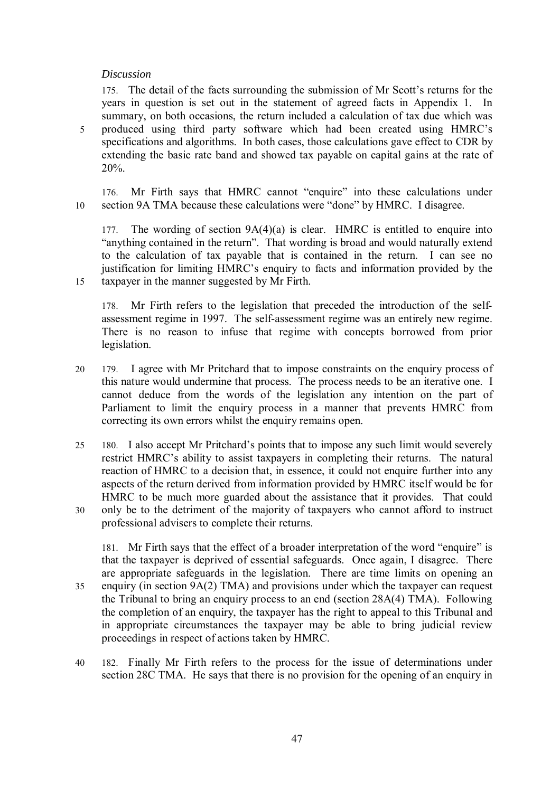### *Discussion*

175. The detail of the facts surrounding the submission of Mr Scott's returns for the years in question is set out in the statement of agreed facts in Appendix 1. In summary, on both occasions, the return included a calculation of tax due which was 5 produced using third party software which had been created using HMRC's specifications and algorithms. In both cases, those calculations gave effect to CDR by extending the basic rate band and showed tax payable on capital gains at the rate of 20%.

176. Mr Firth says that HMRC cannot "enquire" into these calculations under 10 section 9A TMA because these calculations were "done" by HMRC. I disagree.

The wording of section  $9A(4)(a)$  is clear. HMRC is entitled to enquire into "anything contained in the return". That wording is broad and would naturally extend to the calculation of tax payable that is contained in the return. I can see no justification for limiting HMRC's enquiry to facts and information provided by the 15 taxpayer in the manner suggested by Mr Firth.

178. Mr Firth refers to the legislation that preceded the introduction of the selfassessment regime in 1997. The self-assessment regime was an entirely new regime. There is no reason to infuse that regime with concepts borrowed from prior legislation.

- 20 179. I agree with Mr Pritchard that to impose constraints on the enquiry process of this nature would undermine that process. The process needs to be an iterative one. I cannot deduce from the words of the legislation any intention on the part of Parliament to limit the enquiry process in a manner that prevents HMRC from correcting its own errors whilst the enquiry remains open.
- 25 180. I also accept Mr Pritchard's points that to impose any such limit would severely restrict HMRC's ability to assist taxpayers in completing their returns. The natural reaction of HMRC to a decision that, in essence, it could not enquire further into any aspects of the return derived from information provided by HMRC itself would be for HMRC to be much more guarded about the assistance that it provides. That could 30 only be to the detriment of the majority of taxpayers who cannot afford to instruct professional advisers to complete their returns.

181. Mr Firth says that the effect of a broader interpretation of the word "enquire" is that the taxpayer is deprived of essential safeguards. Once again, I disagree. There are appropriate safeguards in the legislation. There are time limits on opening an 35 enquiry (in section 9A(2) TMA) and provisions under which the taxpayer can request the Tribunal to bring an enquiry process to an end (section 28A(4) TMA). Following the completion of an enquiry, the taxpayer has the right to appeal to this Tribunal and in appropriate circumstances the taxpayer may be able to bring judicial review proceedings in respect of actions taken by HMRC.

40 182. Finally Mr Firth refers to the process for the issue of determinations under section 28C TMA. He says that there is no provision for the opening of an enquiry in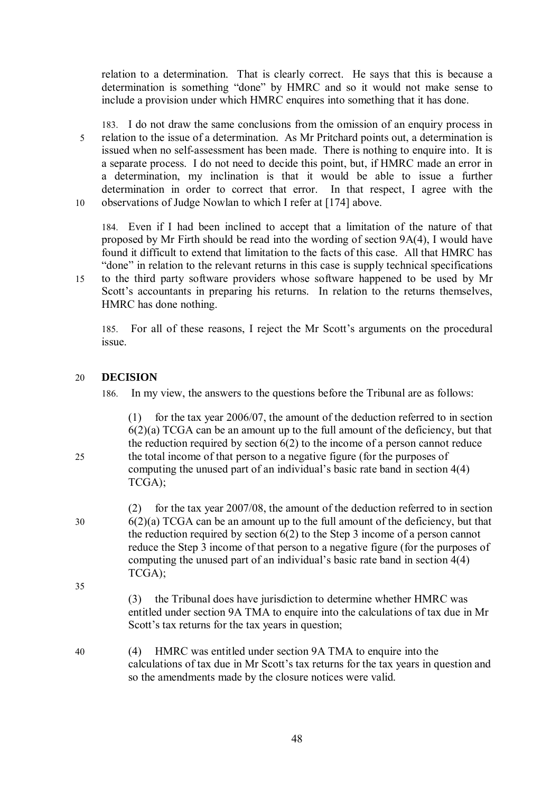relation to a determination. That is clearly correct. He says that this is because a determination is something "done" by HMRC and so it would not make sense to include a provision under which HMRC enquires into something that it has done.

183. I do not draw the same conclusions from the omission of an enquiry process in 5 relation to the issue of a determination. As Mr Pritchard points out, a determination is issued when no self-assessment has been made. There is nothing to enquire into. It is a separate process. I do not need to decide this point, but, if HMRC made an error in a determination, my inclination is that it would be able to issue a further determination in order to correct that error. In that respect, I agree with the 10 observations of Judge Nowlan to which I refer at [174] above.

184. Even if I had been inclined to accept that a limitation of the nature of that proposed by Mr Firth should be read into the wording of section 9A(4), I would have found it difficult to extend that limitation to the facts of this case. All that HMRC has "done" in relation to the relevant returns in this case is supply technical specifications

15 to the third party software providers whose software happened to be used by Mr Scott's accountants in preparing his returns. In relation to the returns themselves, HMRC has done nothing.

185. For all of these reasons, I reject the Mr Scott's arguments on the procedural issue.

# 20 **DECISION**

186. In my view, the answers to the questions before the Tribunal are as follows:

(1) for the tax year 2006/07, the amount of the deduction referred to in section 6(2)(a) TCGA can be an amount up to the full amount of the deficiency, but that the reduction required by section 6(2) to the income of a person cannot reduce 25 the total income of that person to a negative figure (for the purposes of computing the unused part of an individual's basic rate band in section 4(4) TCGA);

- (2) for the tax year 2007/08, the amount of the deduction referred to in section 30 6(2)(a) TCGA can be an amount up to the full amount of the deficiency, but that the reduction required by section 6(2) to the Step 3 income of a person cannot reduce the Step 3 income of that person to a negative figure (for the purposes of computing the unused part of an individual's basic rate band in section 4(4) TCGA); 35
	- (3) the Tribunal does have jurisdiction to determine whether HMRC was entitled under section 9A TMA to enquire into the calculations of tax due in Mr Scott's tax returns for the tax years in question;
- 40 (4) HMRC was entitled under section 9A TMA to enquire into the calculations of tax due in Mr Scott's tax returns for the tax years in question and so the amendments made by the closure notices were valid.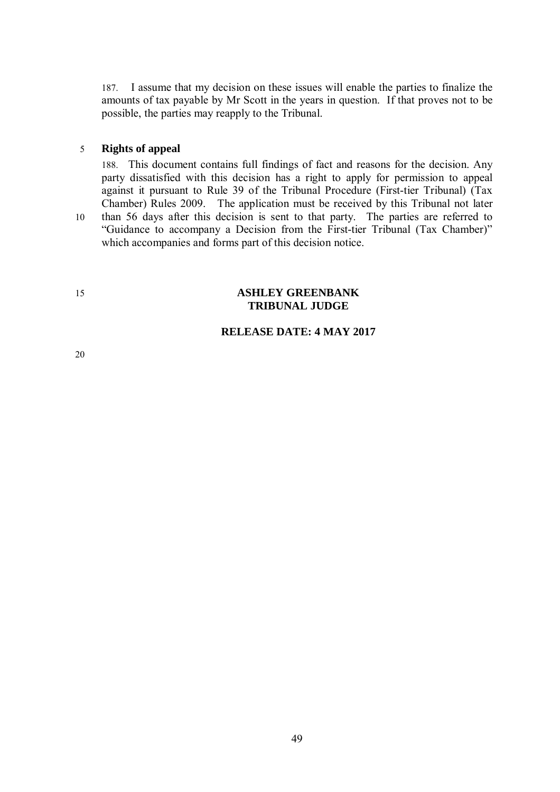187. I assume that my decision on these issues will enable the parties to finalize the amounts of tax payable by Mr Scott in the years in question. If that proves not to be possible, the parties may reapply to the Tribunal.

#### 5 **Rights of appeal**

188. This document contains full findings of fact and reasons for the decision. Any party dissatisfied with this decision has a right to apply for permission to appeal against it pursuant to Rule 39 of the Tribunal Procedure (First-tier Tribunal) (Tax Chamber) Rules 2009. The application must be received by this Tribunal not later 10 than 56 days after this decision is sent to that party. The parties are referred to "Guidance to accompany a Decision from the First-tier Tribunal (Tax Chamber)" which accompanies and forms part of this decision notice.

# 15 **ASHLEY GREENBANK TRIBUNAL JUDGE**

# **RELEASE DATE: 4 MAY 2017**

20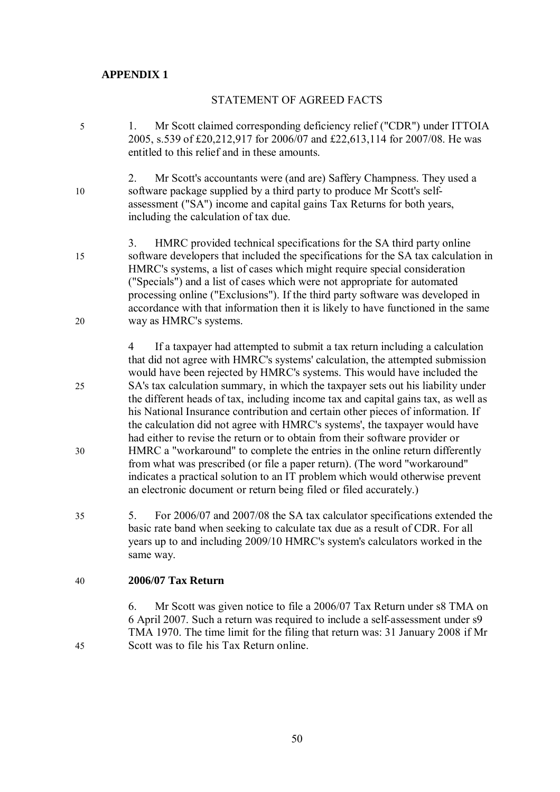# **APPENDIX 1**

# STATEMENT OF AGREED FACTS

- 5 1. Mr Scott claimed corresponding deficiency relief ("CDR") under ITTOIA 2005, s.539 of £20,212,917 for 2006/07 and £22,613,114 for 2007/08. He was entitled to this relief and in these amounts.
- 2. Mr Scott's accountants were (and are) Saffery Champness. They used a 10 software package supplied by a third party to produce Mr Scott's selfassessment ("SA") income and capital gains Tax Returns for both years, including the calculation of tax due.
- 3. HMRC provided technical specifications for the SA third party online 15 software developers that included the specifications for the SA tax calculation in HMRC's systems, a list of cases which might require special consideration ("Specials") and a list of cases which were not appropriate for automated processing online ("Exclusions"). If the third party software was developed in accordance with that information then it is likely to have functioned in the same 20 way as HMRC's systems.
- 4 If a taxpayer had attempted to submit a tax return including a calculation that did not agree with HMRC's systems' calculation, the attempted submission would have been rejected by HMRC's systems. This would have included the 25 SA's tax calculation summary, in which the taxpayer sets out his liability under the different heads of tax, including income tax and capital gains tax, as well as his National Insurance contribution and certain other pieces of information. If the calculation did not agree with HMRC's systems', the taxpayer would have had either to revise the return or to obtain from their software provider or 30 HMRC a "workaround" to complete the entries in the online return differently from what was prescribed (or file a paper return). (The word "workaround" indicates a practical solution to an IT problem which would otherwise prevent an electronic document or return being filed or filed accurately.)
- 35 5. For 2006/07 and 2007/08 the SA tax calculator specifications extended the basic rate band when seeking to calculate tax due as a result of CDR. For all years up to and including 2009/10 HMRC's system's calculators worked in the same way.

# 40 **2006/07 Tax Return**

6. Mr Scott was given notice to file a 2006/07 Tax Return under s8 TMA on 6 April 2007. Such a return was required to include a self-assessment under s9 TMA 1970. The time limit for the filing that return was: 31 January 2008 if Mr 45 Scott was to file his Tax Return online.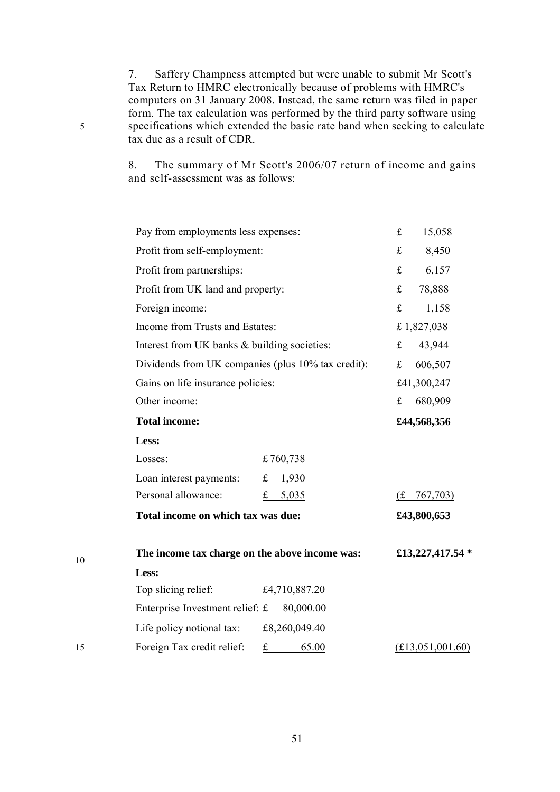7. Saffery Champness attempted but were unable to submit Mr Scott's Tax Return to HMRC electronically because of problems with HMRC's computers on 31 January 2008. Instead, the same return was filed in paper form. The tax calculation was performed by the third party software using 5 specifications which extended the basic rate band when seeking to calculate tax due as a result of CDR.

> 8. The summary of Mr Scott's 2006/07 return of income and gains and self-assessment was as follows:

|    | Pay from employments less expenses:                             | £<br>15,058                                  |  |  |
|----|-----------------------------------------------------------------|----------------------------------------------|--|--|
|    | Profit from self-employment:                                    | 8,450<br>$\mathbf f$                         |  |  |
|    | Profit from partnerships:                                       | 6,157<br>$f_{\rm L}$                         |  |  |
|    | Profit from UK land and property:                               | $f_{\rm L}$<br>78,888                        |  |  |
|    | Foreign income:                                                 | f<br>1,158                                   |  |  |
|    | Income from Trusts and Estates:                                 | £1,827,038                                   |  |  |
|    | Interest from UK banks & building societies:                    | 43,944<br>£                                  |  |  |
|    | Dividends from UK companies (plus 10% tax credit):              | 606,507<br>£                                 |  |  |
|    | Gains on life insurance policies:                               | £41,300,247                                  |  |  |
|    | Other income:                                                   | 680,909<br>£                                 |  |  |
|    | <b>Total income:</b>                                            | £44,568,356                                  |  |  |
|    | Less:                                                           |                                              |  |  |
|    | £760,738<br>Losses:                                             |                                              |  |  |
|    | 1,930<br>Loan interest payments:<br>$\mathbf f$                 |                                              |  |  |
|    | Personal allowance:<br>£ $5,035$                                | $\frac{f_{\text{L}}}{f_{\text{L}}}$ 767,703) |  |  |
|    | Total income on which tax was due:                              | £43,800,653                                  |  |  |
| 10 | The income tax charge on the above income was:                  | £13,227,417.54 *                             |  |  |
|    | Less:                                                           |                                              |  |  |
|    | Top slicing relief:<br>£4,710,887.20                            |                                              |  |  |
|    | Enterprise Investment relief: £<br>80,000.00                    |                                              |  |  |
|    | Life policy notional tax:<br>£8,260,049.40                      |                                              |  |  |
| 15 | Foreign Tax credit relief:<br>$\underline{\mathbf{f}}$<br>65.00 | (£13,051,001.60)                             |  |  |

10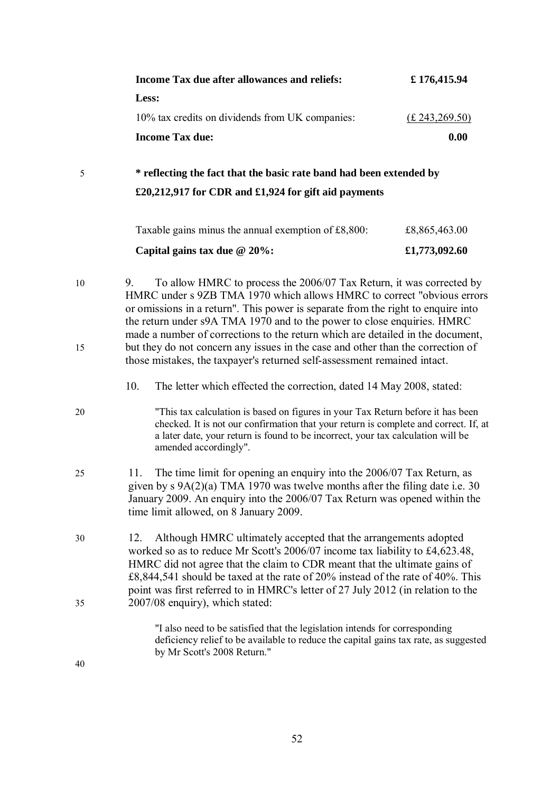|          | Income Tax due after allowances and reliefs:                                                                                                                                                                                                                                                                                                                                                                                                                                                                                                                          | £176,415.94     |
|----------|-----------------------------------------------------------------------------------------------------------------------------------------------------------------------------------------------------------------------------------------------------------------------------------------------------------------------------------------------------------------------------------------------------------------------------------------------------------------------------------------------------------------------------------------------------------------------|-----------------|
|          | Less:                                                                                                                                                                                                                                                                                                                                                                                                                                                                                                                                                                 |                 |
|          | 10% tax credits on dividends from UK companies:                                                                                                                                                                                                                                                                                                                                                                                                                                                                                                                       | (E.243, 269.50) |
|          | <b>Income Tax due:</b>                                                                                                                                                                                                                                                                                                                                                                                                                                                                                                                                                | 0.00            |
| 5        | * reflecting the fact that the basic rate band had been extended by                                                                                                                                                                                                                                                                                                                                                                                                                                                                                                   |                 |
|          | £20,212,917 for CDR and £1,924 for gift aid payments                                                                                                                                                                                                                                                                                                                                                                                                                                                                                                                  |                 |
|          | Taxable gains minus the annual exemption of £8,800:                                                                                                                                                                                                                                                                                                                                                                                                                                                                                                                   | £8,865,463.00   |
|          | Capital gains tax due $@ 20\%$ :                                                                                                                                                                                                                                                                                                                                                                                                                                                                                                                                      | £1,773,092.60   |
| 10<br>15 | To allow HMRC to process the 2006/07 Tax Return, it was corrected by<br>9.<br>HMRC under s 9ZB TMA 1970 which allows HMRC to correct "obvious errors"<br>or omissions in a return". This power is separate from the right to enquire into<br>the return under s9A TMA 1970 and to the power to close enquiries. HMRC<br>made a number of corrections to the return which are detailed in the document,<br>but they do not concern any issues in the case and other than the correction of<br>those mistakes, the taxpayer's returned self-assessment remained intact. |                 |
|          | 10.<br>The letter which effected the correction, dated 14 May 2008, stated:                                                                                                                                                                                                                                                                                                                                                                                                                                                                                           |                 |
| 20       | "This tax calculation is based on figures in your Tax Return before it has been<br>checked. It is not our confirmation that your return is complete and correct. If, at<br>a later date, your return is found to be incorrect, your tax calculation will be<br>amended accordingly".                                                                                                                                                                                                                                                                                  |                 |
| 25       | The time limit for opening an enquiry into the 2006/07 Tax Return, as<br>11.<br>given by $s \theta A(2)(a)$ TMA 1970 was twelve months after the filing date i.e. 30<br>January 2009. An enquiry into the 2006/07 Tax Return was opened within the<br>time limit allowed, on 8 January 2009.                                                                                                                                                                                                                                                                          |                 |
| 30<br>35 | Although HMRC ultimately accepted that the arrangements adopted<br>12.<br>worked so as to reduce Mr Scott's 2006/07 income tax liability to £4,623.48,<br>HMRC did not agree that the claim to CDR meant that the ultimate gains of<br>£8,844,541 should be taxed at the rate of 20% instead of the rate of 40%. This<br>point was first referred to in HMRC's letter of 27 July 2012 (in relation to the<br>2007/08 enquiry), which stated:                                                                                                                          |                 |
| 40       | "I also need to be satisfied that the legislation intends for corresponding<br>deficiency relief to be available to reduce the capital gains tax rate, as suggested<br>by Mr Scott's 2008 Return."                                                                                                                                                                                                                                                                                                                                                                    |                 |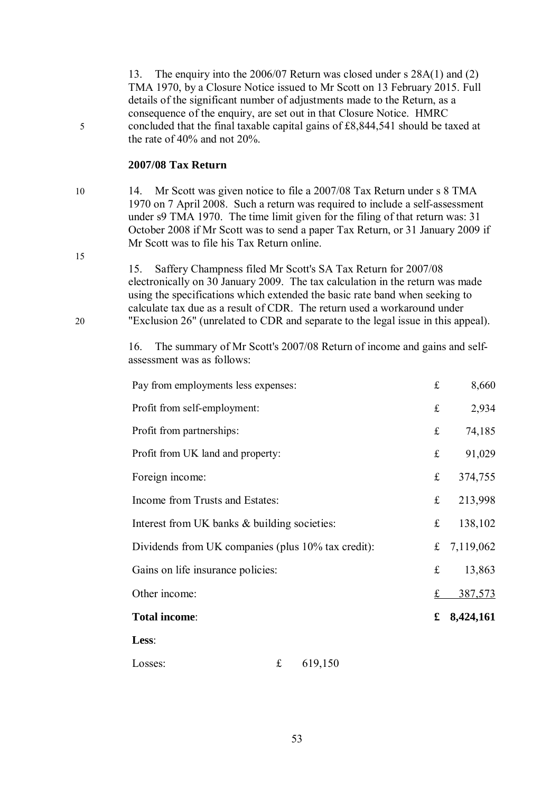13. The enquiry into the 2006/07 Return was closed under s 28A(1) and (2) TMA 1970, by a Closure Notice issued to Mr Scott on 13 February 2015. Full details of the significant number of adjustments made to the Return, as a consequence of the enquiry, are set out in that Closure Notice. HMRC 5 concluded that the final taxable capital gains of £8,844,541 should be taxed at the rate of 40% and not 20%.

### **2007/08 Tax Return**

10 14. Mr Scott was given notice to file a 2007/08 Tax Return under s 8 TMA 1970 on 7 April 2008. Such a return was required to include a self-assessment under s9 TMA 1970. The time limit given for the filing of that return was: 31 October 2008 if Mr Scott was to send a paper Tax Return, or 31 January 2009 if Mr Scott was to file his Tax Return online.

15. Saffery Champness filed Mr Scott's SA Tax Return for 2007/08 electronically on 30 January 2009. The tax calculation in the return was made using the specifications which extended the basic rate band when seeking to calculate tax due as a result of CDR. The return used a workaround under 20 "Exclusion 26" (unrelated to CDR and separate to the legal issue in this appeal).

> 16. The summary of Mr Scott's 2007/08 Return of income and gains and selfassessment was as follows:

| Pay from employments less expenses:                |  |             | $\mathbf f$ | 8,660     |
|----------------------------------------------------|--|-------------|-------------|-----------|
| Profit from self-employment:                       |  |             | $\mathbf f$ | 2,934     |
| Profit from partnerships:                          |  |             | $f_{\rm L}$ | 74,185    |
| Profit from UK land and property:                  |  |             | $\mathbf f$ | 91,029    |
| Foreign income:                                    |  |             | $\mathbf f$ | 374,755   |
| Income from Trusts and Estates:                    |  | f(x)        | 213,998     |           |
| Interest from UK banks & building societies:       |  | $\mathbf f$ | 138,102     |           |
| Dividends from UK companies (plus 10% tax credit): |  | $\mathbf f$ | 7,119,062   |           |
| Gains on life insurance policies:                  |  |             | £           | 13,863    |
| Other income:                                      |  |             | $\mathbf f$ | 387,573   |
| Total income:                                      |  |             | £           | 8,424,161 |
| Less:                                              |  |             |             |           |
| £<br>Losses:                                       |  | 619,150     |             |           |

15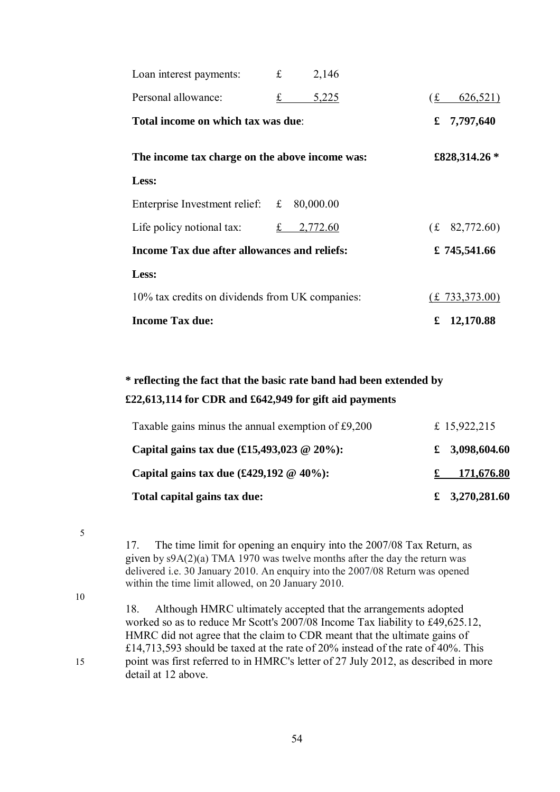| Loan interest payments:                             | £ | 2,146           |                               |
|-----------------------------------------------------|---|-----------------|-------------------------------|
| Personal allowance:                                 | £ | 5,225           | 626,521)<br>f(x)              |
| Total income on which tax was due:                  |   |                 | £ $7,797,640$                 |
| The income tax charge on the above income was:      |   | £828,314.26 $*$ |                               |
| Less:                                               |   |                 |                               |
| Enterprise Investment relief: £                     |   | 80,000.00       |                               |
| Life policy notional tax:                           | f | 2,772.60        | (f. 82,772.60)                |
| <b>Income Tax due after allowances and reliefs:</b> |   |                 | £ $745,541.66$                |
| Less:                                               |   |                 |                               |
| 10% tax credits on dividends from UK companies:     |   |                 | $(\text{\pounds} 733,373.00)$ |
| <b>Income Tax due:</b>                              |   |                 | 12,170.88<br>£                |

# **\* reflecting the fact that the basic rate band had been extended by £22,613,114 for CDR and £642,949 for gift aid payments**

| Taxable gains minus the annual exemption of £9,200                            | £ 15,922,215   |
|-------------------------------------------------------------------------------|----------------|
| Capital gains tax due $(\text{\textsterling}15,493,023 \textcircled{20\%})$ : | £ 3,098,604.60 |
| Capital gains tax due $(\text{\pounds}429,192 \oslash 40\%)$ :                | 171,676.80     |
| Total capital gains tax due:                                                  | £ 3,270,281.60 |

5

17. The time limit for opening an enquiry into the 2007/08 Tax Return, as given by s9A(2)(a) TMA 1970 was twelve months after the day the return was delivered i.e. 30 January 2010. An enquiry into the 2007/08 Return was opened within the time limit allowed, on 20 January 2010.

10

18. Although HMRC ultimately accepted that the arrangements adopted worked so as to reduce Mr Scott's 2007/08 Income Tax liability to £49,625.12, HMRC did not agree that the claim to CDR meant that the ultimate gains of £14,713,593 should be taxed at the rate of 20% instead of the rate of 40%. This 15 point was first referred to in HMRC's letter of 27 July 2012, as described in more detail at 12 above.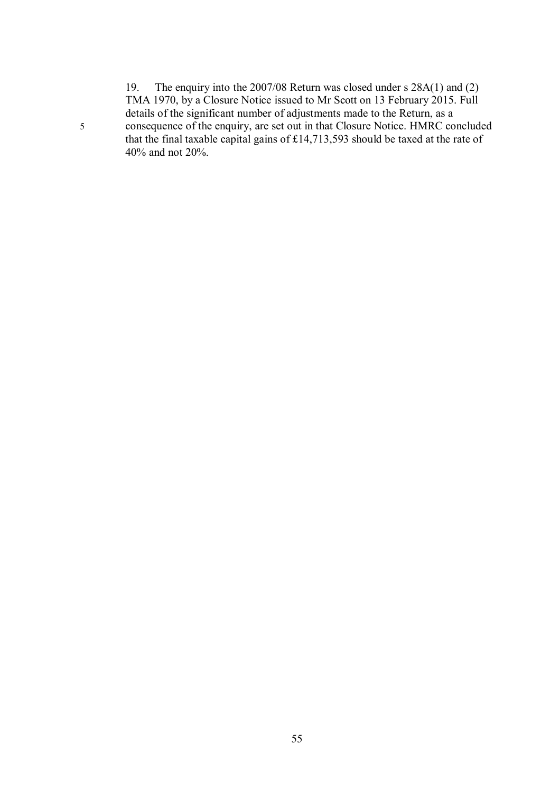19. The enquiry into the 2007/08 Return was closed under s 28A(1) and (2) TMA 1970, by a Closure Notice issued to Mr Scott on 13 February 2015. Full details of the significant number of adjustments made to the Return, as a 5 consequence of the enquiry, are set out in that Closure Notice. HMRC concluded that the final taxable capital gains of £14,713,593 should be taxed at the rate of 40% and not 20%.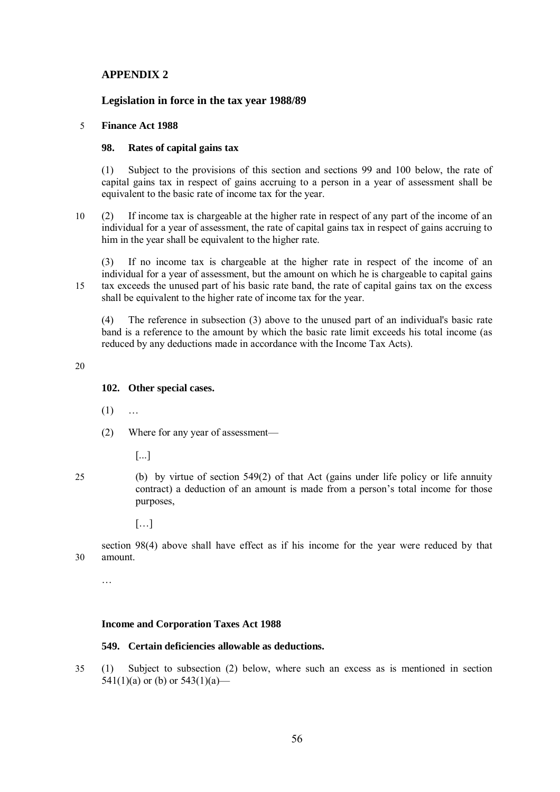# **APPENDIX 2**

### **Legislation in force in the tax year 1988/89**

#### 5 **Finance Act 1988**

#### **98. Rates of capital gains tax**

(1) Subject to the provisions of this section and sections 99 and 100 below, the rate of capital gains tax in respect of gains accruing to a person in a year of assessment shall be equivalent to the basic rate of income tax for the year.

10 (2) If income tax is chargeable at the higher rate in respect of any part of the income of an individual for a year of assessment, the rate of capital gains tax in respect of gains accruing to him in the year shall be equivalent to the higher rate.

(3) If no income tax is chargeable at the higher rate in respect of the income of an individual for a year of assessment, but the amount on which he is chargeable to capital gains 15 tax exceeds the unused part of his basic rate band, the rate of capital gains tax on the excess shall be equivalent to the higher rate of income tax for the year.

(4) The reference in subsection (3) above to the unused part of an individual's basic rate band is a reference to the amount by which the basic rate limit exceeds his total income (as reduced by any deductions made in accordance with the Income Tax Acts).

20

# **102. Other special cases.**

- $(1)$  ...
- (2) Where for any year of assessment—
	- [...]
- 

25 (b) by virtue of section 549(2) of that Act (gains under life policy or life annuity contract) a deduction of an amount is made from a person's total income for those purposes,

 $[...]$ 

section 98(4) above shall have effect as if his income for the year were reduced by that 30 amount.

…

#### **Income and Corporation Taxes Act 1988**

#### **549. Certain deficiencies allowable as deductions.**

35 (1) Subject to subsection (2) below, where such an excess as is mentioned in section 541(1)(a) or (b) or  $543(1)(a)$ —